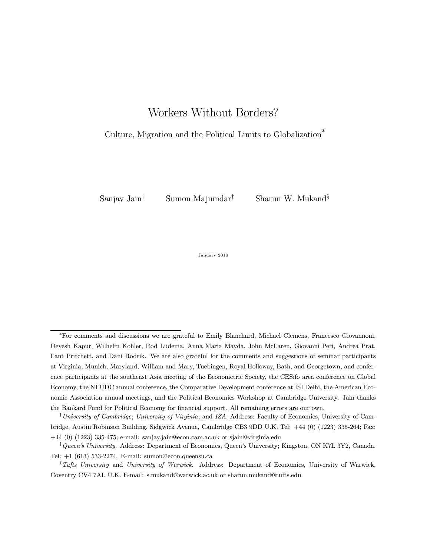# Workers Without Borders?

### Culture, Migration and the Political Limits to Globalization<sup>®</sup>

Sanjay Jain<sup>†</sup> Sumon Majumdar<sup>‡</sup> Sharun W. Mukand<sup>§</sup>

January 2010

<sup>∗</sup>For comments and discussions we are grateful to Emily Blanchard, Michael Clemens, Francesco Giovannoni, Devesh Kapur, Wilhelm Kohler, Rod Ludema, Anna Maria Mayda, John McLaren, Giovanni Peri, Andrea Prat, Lant Pritchett, and Dani Rodrik. We are also grateful for the comments and suggestions of seminar participants at Virginia, Munich, Maryland, William and Mary, Tuebingen, Royal Holloway, Bath, and Georgetown, and conference participants at the southeast Asia meeting of the Econometric Society, the CESifo area conference on Global Economy, the NEUDC annual conference, the Comparative Development conference at ISI Delhi, the American Economic Association annual meetings, and the Political Economics Workshop at Cambridge University. Jain thanks the Bankard Fund for Political Economy for financial support. All remaining errors are our own.

<sup>&</sup>lt;sup>†</sup>University of Cambridge; University of Virginia; and IZA. Address: Faculty of Economics, University of Cambridge, Austin Robinson Building, Sidgwick Avenue, Cambridge CB3 9DD U.K. Tel: +44 (0) (1223) 335-264; Fax: +44 (0) (1223) 335-475; e-mail: sanjay.jain@econ.cam.ac.uk or sjain@virginia.edu

<sup>&</sup>lt;sup>†</sup> Queen's University. Address: Department of Economics, Queen's University; Kingston, ON K7L 3Y2, Canada. Tel: +1 (613) 533-2274. E-mail: sumon@econ.queensu.ca

<sup>&</sup>lt;sup>§</sup>Tufts University and University of Warwick. Address: Department of Economics, University of Warwick, Coventry CV4 7AL U.K. E-mail: s.mukand@warwick.ac.uk or sharun.mukand@tufts.edu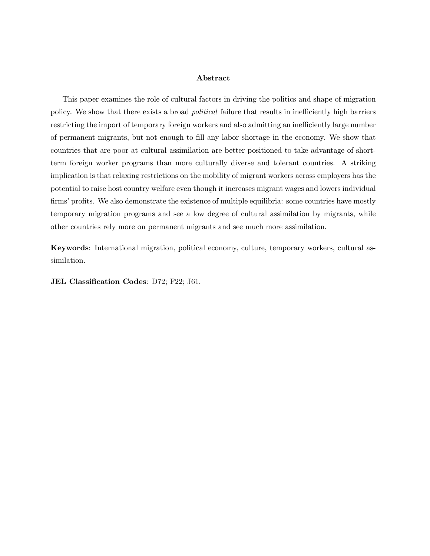#### Abstract

This paper examines the role of cultural factors in driving the politics and shape of migration policy. We show that there exists a broad political failure that results in inefficiently high barriers restricting the import of temporary foreign workers and also admitting an inefficiently large number of permanent migrants, but not enough to fill any labor shortage in the economy. We show that countries that are poor at cultural assimilation are better positioned to take advantage of shortterm foreign worker programs than more culturally diverse and tolerant countries. A striking implication is that relaxing restrictions on the mobility of migrant workers across employers has the potential to raise host country welfare even though it increases migrant wages and lowers individual firms' profits. We also demonstrate the existence of multiple equilibria: some countries have mostly temporary migration programs and see a low degree of cultural assimilation by migrants, while other countries rely more on permanent migrants and see much more assimilation.

Keywords: International migration, political economy, culture, temporary workers, cultural assimilation.

JEL Classification Codes: D72; F22; J61.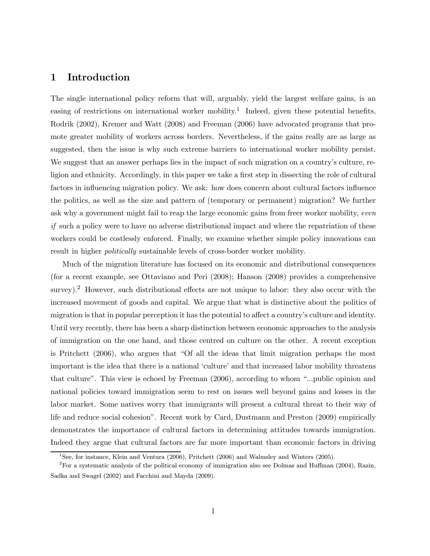### 1 Introduction

The single international policy reform that will, arguably, yield the largest welfare gains, is an easing of restrictions on international worker mobility.<sup>1</sup> Indeed, given these potential benefits, Rodrik (2002), Kremer and Watt (2008) and Freeman (2006) have advocated programs that promote greater mobility of workers across borders. Nevertheless, if the gains really are as large as suggested, then the issue is why such extreme barriers to international worker mobility persist. We suggest that an answer perhaps lies in the impact of such migration on a country's culture, religion and ethnicity. Accordingly, in this paper we take a first step in dissecting the role of cultural factors in influencing migration policy. We ask: how does concern about cultural factors influence the politics, as well as the size and pattern of (temporary or permanent) migration? We further ask why a government might fail to reap the large economic gains from freer worker mobility, even if such a policy were to have no adverse distributional impact and where the repatriation of these workers could be costlessly enforced. Finally, we examine whether simple policy innovations can result in higher politically sustainable levels of cross-border worker mobility.

Much of the migration literature has focused on its economic and distributional consequences (for a recent example, see Ottaviano and Peri (2008); Hanson (2008) provides a comprehensive survey).<sup>2</sup> However, such distributional effects are not unique to labor: they also occur with the increased movement of goods and capital. We argue that what is distinctive about the politics of migration is that in popular perception it has the potential to affect a countryís culture and identity. Until very recently, there has been a sharp distinction between economic approaches to the analysis of immigration on the one hand, and those centred on culture on the other. A recent exception is Pritchett (2006), who argues that "Of all the ideas that limit migration perhaps the most important is the idea that there is a national 'culture' and that increased labor mobility threatens that culture". This view is echoed by Freeman  $(2006)$ , according to whom "...public opinion and national policies toward immigration seem to rest on issues well beyond gains and losses in the labor market. Some natives worry that immigrants will present a cultural threat to their way of life and reduce social cohesion". Recent work by Card, Dustmann and Preston (2009) empirically demonstrates the importance of cultural factors in determining attitudes towards immigration. Indeed they argue that cultural factors are far more important than economic factors in driving

<sup>1</sup>See, for instance, Klein and Ventura (2006), Pritchett (2006) and Walmsley and Winters (2005).

<sup>2</sup>For a systematic analysis of the political economy of immigration also see Dolmas and Huffman (2004), Razin, Sadka and Swagel (2002) and Facchini and Mayda (2009).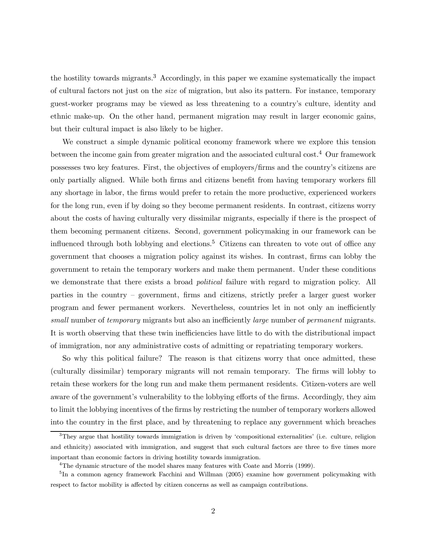the hostility towards migrants.<sup>3</sup> Accordingly, in this paper we examine systematically the impact of cultural factors not just on the size of migration, but also its pattern. For instance, temporary guest-worker programs may be viewed as less threatening to a countryís culture, identity and ethnic make-up. On the other hand, permanent migration may result in larger economic gains, but their cultural impact is also likely to be higher.

We construct a simple dynamic political economy framework where we explore this tension between the income gain from greater migration and the associated cultural cost.<sup>4</sup> Our framework possesses two key features. First, the objectives of employers/firms and the countryís citizens are only partially aligned. While both firms and citizens benefit from having temporary workers fill any shortage in labor, the firms would prefer to retain the more productive, experienced workers for the long run, even if by doing so they become permanent residents. In contrast, citizens worry about the costs of having culturally very dissimilar migrants, especially if there is the prospect of them becoming permanent citizens. Second, government policymaking in our framework can be influenced through both lobbying and elections.<sup>5</sup> Citizens can threaten to vote out of office any government that chooses a migration policy against its wishes. In contrast, firms can lobby the government to retain the temporary workers and make them permanent. Under these conditions we demonstrate that there exists a broad *political* failure with regard to migration policy. All parties in the country – government, firms and citizens, strictly prefer a larger guest worker program and fewer permanent workers. Nevertheless, countries let in not only an inefficiently small number of temporary migrants but also an inefficiently large number of permanent migrants. It is worth observing that these twin inefficiencies have little to do with the distributional impact of immigration, nor any administrative costs of admitting or repatriating temporary workers.

So why this political failure? The reason is that citizens worry that once admitted, these (culturally dissimilar) temporary migrants will not remain temporary. The firms will lobby to retain these workers for the long run and make them permanent residents. Citizen-voters are well aware of the government's vulnerability to the lobbying efforts of the firms. Accordingly, they aim to limit the lobbying incentives of the firms by restricting the number of temporary workers allowed into the country in the first place, and by threatening to replace any government which breaches

 $3$ They argue that hostility towards immigration is driven by 'compositional externalities' (i.e. culture, religion and ethnicity) associated with immigration, and suggest that such cultural factors are three to five times more important than economic factors in driving hostility towards immigration.

<sup>&</sup>lt;sup>4</sup>The dynamic structure of the model shares many features with Coate and Morris (1999).

<sup>&</sup>lt;sup>5</sup>In a common agency framework Facchini and Willman (2005) examine how government policymaking with respect to factor mobility is affected by citizen concerns as well as campaign contributions.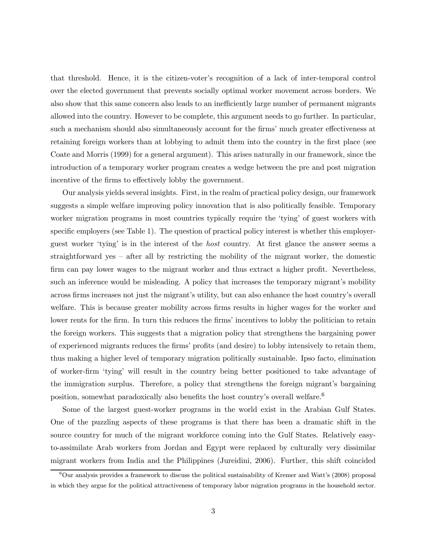that threshold. Hence, it is the citizen-voter's recognition of a lack of inter-temporal control over the elected government that prevents socially optimal worker movement across borders. We also show that this same concern also leads to an inefficiently large number of permanent migrants allowed into the country. However to be complete, this argument needs to go further. In particular, such a mechanism should also simultaneously account for the firms' much greater effectiveness at retaining foreign workers than at lobbying to admit them into the country in the first place (see Coate and Morris (1999) for a general argument). This arises naturally in our framework, since the introduction of a temporary worker program creates a wedge between the pre and post migration incentive of the firms to effectively lobby the government.

Our analysis yields several insights. First, in the realm of practical policy design, our framework suggests a simple welfare improving policy innovation that is also politically feasible. Temporary worker migration programs in most countries typically require the 'tying' of guest workers with specific employers (see Table 1). The question of practical policy interest is whether this employerguest worker ëtyingí is in the interest of the host country. At first glance the answer seems a straightforward yes  $-$  after all by restricting the mobility of the migrant worker, the domestic firm can pay lower wages to the migrant worker and thus extract a higher profit. Nevertheless, such an inference would be misleading. A policy that increases the temporary migrant's mobility across firms increases not just the migrant's utility, but can also enhance the host country's overall welfare. This is because greater mobility across firms results in higher wages for the worker and lower rents for the firm. In turn this reduces the firms' incentives to lobby the politician to retain the foreign workers. This suggests that a migration policy that strengthens the bargaining power of experienced migrants reduces the firmsí profits (and desire) to lobby intensively to retain them, thus making a higher level of temporary migration politically sustainable. Ipso facto, elimination of worker-firm ëtyingí will result in the country being better positioned to take advantage of the immigration surplus. Therefore, a policy that strengthens the foreign migrant's bargaining position, somewhat paradoxically also benefits the host country's overall welfare.<sup>6</sup>

Some of the largest guest-worker programs in the world exist in the Arabian Gulf States. One of the puzzling aspects of these programs is that there has been a dramatic shift in the source country for much of the migrant workforce coming into the Gulf States. Relatively easyto-assimilate Arab workers from Jordan and Egypt were replaced by culturally very dissimilar migrant workers from India and the Philippines (Jureidini, 2006). Further, this shift coincided

 $6$ Our analysis provides a framework to discuss the political sustainability of Kremer and Watt's (2008) proposal in which they argue for the political attractiveness of temporary labor migration programs in the household sector.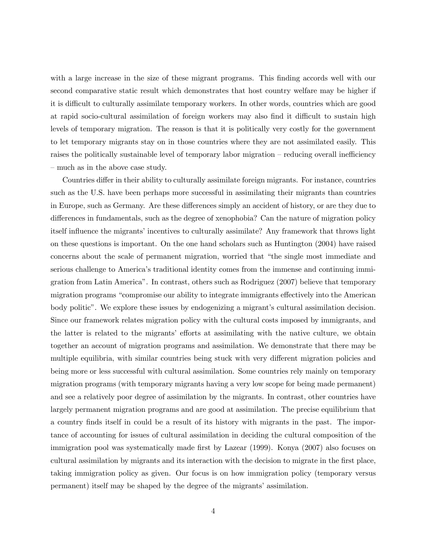with a large increase in the size of these migrant programs. This finding accords well with our second comparative static result which demonstrates that host country welfare may be higher if it is difficult to culturally assimilate temporary workers. In other words, countries which are good at rapid socio-cultural assimilation of foreign workers may also find it difficult to sustain high levels of temporary migration. The reason is that it is politically very costly for the government to let temporary migrants stay on in those countries where they are not assimilated easily. This raises the politically sustainable level of temporary labor migration – reducing overall inefficiency – much as in the above case study.

Countries differ in their ability to culturally assimilate foreign migrants. For instance, countries such as the U.S. have been perhaps more successful in assimilating their migrants than countries in Europe, such as Germany. Are these differences simply an accident of history, or are they due to differences in fundamentals, such as the degree of xenophobia? Can the nature of migration policy itself influence the migrants' incentives to culturally assimilate? Any framework that throws light on these questions is important. On the one hand scholars such as Huntington (2004) have raised concerns about the scale of permanent migration, worried that "the single most immediate and serious challenge to America's traditional identity comes from the immense and continuing immigration from Latin Americaî. In contrast, others such as Rodriguez (2007) believe that temporary migration programs "compromise our ability to integrate immigrants effectively into the American body politic". We explore these issues by endogenizing a migrant's cultural assimilation decision. Since our framework relates migration policy with the cultural costs imposed by immigrants, and the latter is related to the migrantsí efforts at assimilating with the native culture, we obtain together an account of migration programs and assimilation. We demonstrate that there may be multiple equilibria, with similar countries being stuck with very different migration policies and being more or less successful with cultural assimilation. Some countries rely mainly on temporary migration programs (with temporary migrants having a very low scope for being made permanent) and see a relatively poor degree of assimilation by the migrants. In contrast, other countries have largely permanent migration programs and are good at assimilation. The precise equilibrium that a country finds itself in could be a result of its history with migrants in the past. The importance of accounting for issues of cultural assimilation in deciding the cultural composition of the immigration pool was systematically made first by Lazear (1999). Konya (2007) also focuses on cultural assimilation by migrants and its interaction with the decision to migrate in the first place, taking immigration policy as given. Our focus is on how immigration policy (temporary versus permanent) itself may be shaped by the degree of the migrants' assimilation.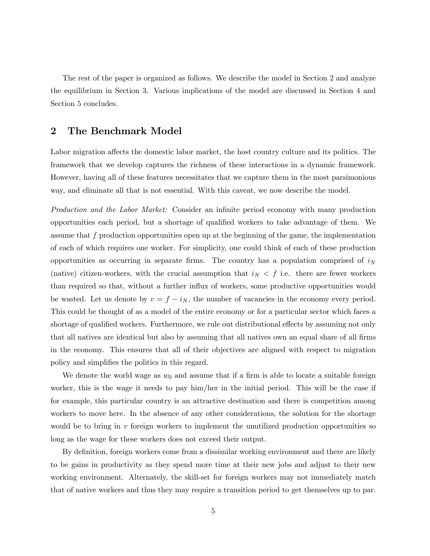The rest of the paper is organized as follows. We describe the model in Section 2 and analyze the equilibrium in Section 3. Various implications of the model are discussed in Section 4 and Section 5 concludes.

# 2 The Benchmark Model

Labor migration affects the domestic labor market, the host country culture and its politics. The framework that we develop captures the richness of these interactions in a dynamic framework. However, having all of these features necessitates that we capture them in the most parsimonious way, and eliminate all that is not essential. With this caveat, we now describe the model.

Production and the Labor Market: Consider an infinite period economy with many production opportunities each period, but a shortage of qualified workers to take advantage of them. We assume that  $f$  production opportunities open up at the beginning of the game, the implementation of each of which requires one worker. For simplicity, one could think of each of these production opportunities as occurring in separate firms. The country has a population comprised of  $i_N$ (native) citizen-workers, with the crucial assumption that  $i<sub>N</sub> < f$  i.e. there are fewer workers than required so that, without a further influx of workers, some productive opportunities would be wasted. Let us denote by  $v = f - i_N$ , the number of vacancies in the economy every period. This could be thought of as a model of the entire economy or for a particular sector which faces a shortage of qualified workers. Furthermore, we rule out distributional effects by assuming not only that all natives are identical but also by assuming that all natives own an equal share of all firms in the economy. This ensures that all of their objectives are aligned with respect to migration policy and simplifies the politics in this regard.

We denote the world wage as  $w_0$  and assume that if a firm is able to locate a suitable foreign worker, this is the wage it needs to pay him/her in the initial period. This will be the case if for example, this particular country is an attractive destination and there is competition among workers to move here. In the absence of any other considerations, the solution for the shortage would be to bring in  $v$  foreign workers to implement the unutilized production opportunities so long as the wage for these workers does not exceed their output.

By definition, foreign workers come from a dissimilar working environment and there are likely to be gains in productivity as they spend more time at their new jobs and adjust to their new working environment. Alternately, the skill-set for foreign workers may not immediately match that of native workers and thus they may require a transition period to get themselves up to par.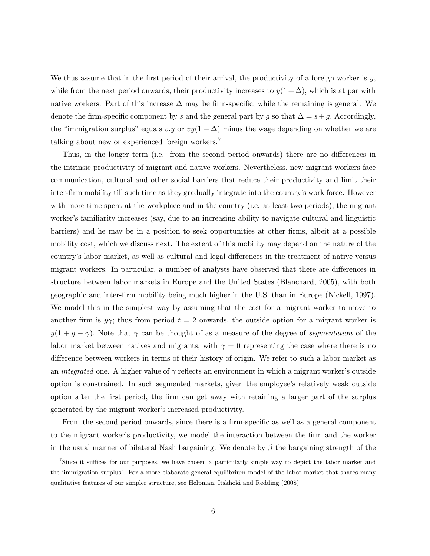We thus assume that in the first period of their arrival, the productivity of a foreign worker is  $y$ , while from the next period onwards, their productivity increases to  $y(1+\Delta)$ , which is at par with native workers. Part of this increase  $\Delta$  may be firm-specific, while the remaining is general. We denote the firm-specific component by s and the general part by g so that  $\Delta = s + g$ . Accordingly, the "immigration surplus" equals v.y or  $vy(1 + \Delta)$  minus the wage depending on whether we are talking about new or experienced foreign workers.<sup>7</sup>

Thus, in the longer term (i.e. from the second period onwards) there are no differences in the intrinsic productivity of migrant and native workers. Nevertheless, new migrant workers face communication, cultural and other social barriers that reduce their productivity and limit their inter-firm mobility till such time as they gradually integrate into the country's work force. However with more time spent at the workplace and in the country (i.e. at least two periods), the migrant worker's familiarity increases (say, due to an increasing ability to navigate cultural and linguistic barriers) and he may be in a position to seek opportunities at other firms, albeit at a possible mobility cost, which we discuss next. The extent of this mobility may depend on the nature of the countryís labor market, as well as cultural and legal differences in the treatment of native versus migrant workers. In particular, a number of analysts have observed that there are differences in structure between labor markets in Europe and the United States (Blanchard, 2005), with both geographic and inter-firm mobility being much higher in the U.S. than in Europe (Nickell, 1997). We model this in the simplest way by assuming that the cost for a migrant worker to move to another firm is  $y\gamma$ ; thus from period  $t = 2$  onwards, the outside option for a migrant worker is  $y(1 + g - \gamma)$ . Note that  $\gamma$  can be thought of as a measure of the degree of segmentation of the labor market between natives and migrants, with  $\gamma = 0$  representing the case where there is no difference between workers in terms of their history of origin. We refer to such a labor market as an *integrated* one. A higher value of  $\gamma$  reflects an environment in which a migrant worker's outside option is constrained. In such segmented markets, given the employeeís relatively weak outside option after the first period, the firm can get away with retaining a larger part of the surplus generated by the migrant worker's increased productivity.

From the second period onwards, since there is a firm-specific as well as a general component to the migrant worker's productivity, we model the interaction between the firm and the worker in the usual manner of bilateral Nash bargaining. We denote by  $\beta$  the bargaining strength of the

<sup>&</sup>lt;sup>7</sup>Since it suffices for our purposes, we have chosen a particularly simple way to depict the labor market and the 'immigration surplus'. For a more elaborate general-equilibrium model of the labor market that shares many qualitative features of our simpler structure, see Helpman, Itskhoki and Redding (2008).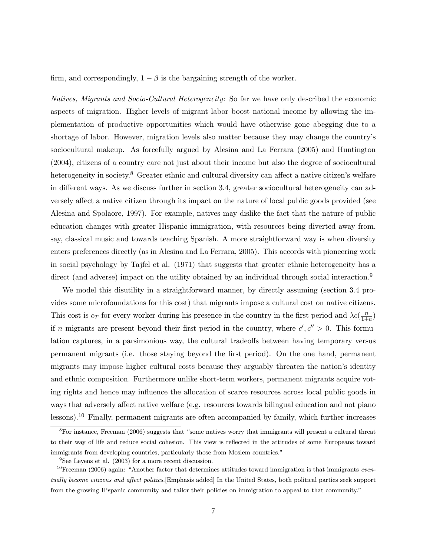firm, and correspondingly,  $1 - \beta$  is the bargaining strength of the worker.

Natives, Migrants and Socio-Cultural Heterogeneity: So far we have only described the economic aspects of migration. Higher levels of migrant labor boost national income by allowing the implementation of productive opportunities which would have otherwise gone abegging due to a shortage of labor. However, migration levels also matter because they may change the countryís sociocultural makeup. As forcefully argued by Alesina and La Ferrara (2005) and Huntington (2004), citizens of a country care not just about their income but also the degree of sociocultural heterogeneity in society.<sup>8</sup> Greater ethnic and cultural diversity can affect a native citizen's welfare in different ways. As we discuss further in section 3.4, greater sociocultural heterogeneity can adversely affect a native citizen through its impact on the nature of local public goods provided (see Alesina and Spolaore, 1997). For example, natives may dislike the fact that the nature of public education changes with greater Hispanic immigration, with resources being diverted away from, say, classical music and towards teaching Spanish. A more straightforward way is when diversity enters preferences directly (as in Alesina and La Ferrara, 2005). This accords with pioneering work in social psychology by Tajfel et al. (1971) that suggests that greater ethnic heterogeneity has a direct (and adverse) impact on the utility obtained by an individual through social interaction.<sup>9</sup>

We model this disutility in a straightforward manner, by directly assuming (section 3.4 provides some microfoundations for this cost) that migrants impose a cultural cost on native citizens. This cost is  $c_T$  for every worker during his presence in the country in the first period and  $\lambda c(\frac{n}{1+a})$ if n migrants are present beyond their first period in the country, where  $c', c'' > 0$ . This formulation captures, in a parsimonious way, the cultural tradeoffs between having temporary versus permanent migrants (i.e. those staying beyond the first period). On the one hand, permanent migrants may impose higher cultural costs because they arguably threaten the nation's identity and ethnic composition. Furthermore unlike short-term workers, permanent migrants acquire voting rights and hence may influence the allocation of scarce resources across local public goods in ways that adversely affect native welfare (e.g. resources towards bilingual education and not piano lessons).<sup>10</sup> Finally, permanent migrants are often accompanied by family, which further increases

 ${}^{8}$ For instance, Freeman (2006) suggests that "some natives worry that immigrants will present a cultural threat to their way of life and reduce social cohesion. This view is reflected in the attitudes of some Europeans toward immigrants from developing countries, particularly those from Moslem countries."

<sup>&</sup>lt;sup>9</sup>See Leyens et al. (2003) for a more recent discussion.

 $10$ Freeman (2006) again: "Another factor that determines attitudes toward immigration is that immigrants eventually become citizens and affect politics.[Emphasis added] In the United States, both political parties seek support from the growing Hispanic community and tailor their policies on immigration to appeal to that community."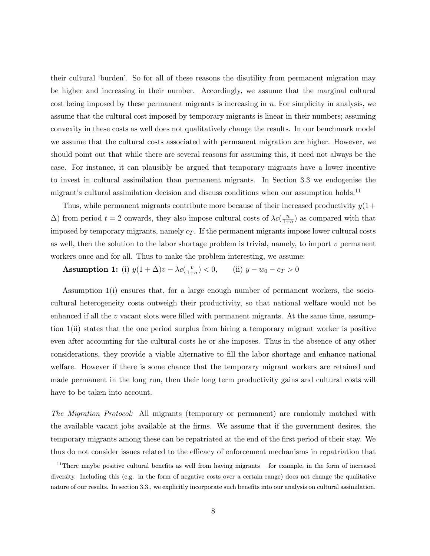their cultural ëburdení. So for all of these reasons the disutility from permanent migration may be higher and increasing in their number. Accordingly, we assume that the marginal cultural cost being imposed by these permanent migrants is increasing in  $n$ . For simplicity in analysis, we assume that the cultural cost imposed by temporary migrants is linear in their numbers; assuming convexity in these costs as well does not qualitatively change the results. In our benchmark model we assume that the cultural costs associated with permanent migration are higher. However, we should point out that while there are several reasons for assuming this, it need not always be the case. For instance, it can plausibly be argued that temporary migrants have a lower incentive to invest in cultural assimilation than permanent migrants. In Section 3.3 we endogenise the migrant's cultural assimilation decision and discuss conditions when our assumption holds.<sup>11</sup>

Thus, while permanent migrants contribute more because of their increased productivity  $y(1+$  $\Delta$ ) from period  $t = 2$  onwards, they also impose cultural costs of  $\lambda c(\frac{n}{1+a})$  as compared with that imposed by temporary migrants, namely  $c_T$ . If the permanent migrants impose lower cultural costs as well, then the solution to the labor shortage problem is trivial, namely, to import  $v$  permanent workers once and for all. Thus to make the problem interesting, we assume:

**Assumption 1:** (i)  $y(1 + \Delta)v - \lambda c(\frac{v}{1+a}) < 0$ , (ii)  $y - w_0 - c_T > 0$ 

Assumption 1(i) ensures that, for a large enough number of permanent workers, the sociocultural heterogeneity costs outweigh their productivity, so that national welfare would not be enhanced if all the  $v$  vacant slots were filled with permanent migrants. At the same time, assumption 1(ii) states that the one period surplus from hiring a temporary migrant worker is positive even after accounting for the cultural costs he or she imposes. Thus in the absence of any other considerations, they provide a viable alternative to fill the labor shortage and enhance national welfare. However if there is some chance that the temporary migrant workers are retained and made permanent in the long run, then their long term productivity gains and cultural costs will have to be taken into account.

The Migration Protocol: All migrants (temporary or permanent) are randomly matched with the available vacant jobs available at the firms. We assume that if the government desires, the temporary migrants among these can be repatriated at the end of the first period of their stay. We thus do not consider issues related to the efficacy of enforcement mechanisms in repatriation that

 $11$ There maybe positive cultural benefits as well from having migrants – for example, in the form of increased diversity. Including this (e.g. in the form of negative costs over a certain range) does not change the qualitative nature of our results. In section 3.3., we explicitly incorporate such benefits into our analysis on cultural assimilation.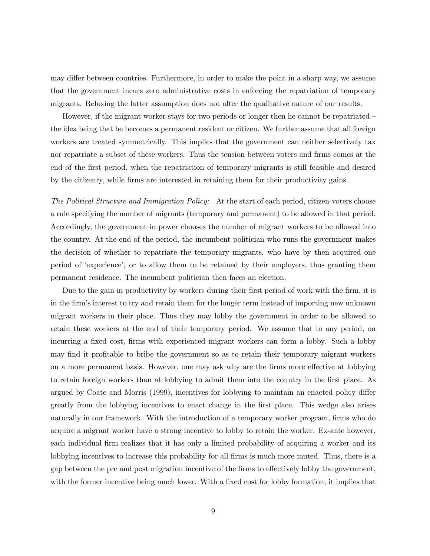may differ between countries. Furthermore, in order to make the point in a sharp way, we assume that the government incurs zero administrative costs in enforcing the repatriation of temporary migrants. Relaxing the latter assumption does not alter the qualitative nature of our results.

However, if the migrant worker stays for two periods or longer then he cannot be repatriated  $$ the idea being that he becomes a permanent resident or citizen. We further assume that all foreign workers are treated symmetrically. This implies that the government can neither selectively tax nor repatriate a subset of these workers. Thus the tension between voters and firms comes at the end of the first period, when the repatriation of temporary migrants is still feasible and desired by the citizenry, while firms are interested in retaining them for their productivity gains.

The Political Structure and Immigration Policy: At the start of each period, citizen-voters choose a rule specifying the number of migrants (temporary and permanent) to be allowed in that period. Accordingly, the government in power chooses the number of migrant workers to be allowed into the country. At the end of the period, the incumbent politician who runs the government makes the decision of whether to repatriate the temporary migrants, who have by then acquired one period of ëexperienceí, or to allow them to be retained by their employers, thus granting them permanent residence. The incumbent politician then faces an election.

Due to the gain in productivity by workers during their first period of work with the firm, it is in the firmís interest to try and retain them for the longer term instead of importing new unknown migrant workers in their place. Thus they may lobby the government in order to be allowed to retain these workers at the end of their temporary period. We assume that in any period, on incurring a fixed cost, firms with experienced migrant workers can form a lobby. Such a lobby may find it profitable to bribe the government so as to retain their temporary migrant workers on a more permanent basis. However, one may ask why are the firms more effective at lobbying to retain foreign workers than at lobbying to admit them into the country in the first place. As argued by Coate and Morris (1999), incentives for lobbying to maintain an enacted policy differ greatly from the lobbying incentives to enact change in the first place. This wedge also arises naturally in our framework. With the introduction of a temporary worker program, firms who do acquire a migrant worker have a strong incentive to lobby to retain the worker. Ex-ante however, each individual firm realizes that it has only a limited probability of acquiring a worker and its lobbying incentives to increase this probability for all firms is much more muted. Thus, there is a gap between the pre and post migration incentive of the firms to effectively lobby the government, with the former incentive being much lower. With a fixed cost for lobby formation, it implies that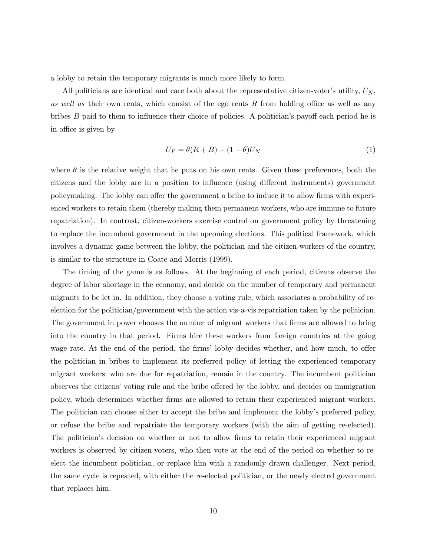a lobby to retain the temporary migrants is much more likely to form.

All politicians are identical and care both about the representative citizen-voter's utility,  $U_N$ , as well as their own rents, which consist of the ego rents  $R$  from holding office as well as any bribes  $B$  paid to them to influence their choice of policies. A politician's payoff each period he is in office is given by

$$
U_P = \theta(R + B) + (1 - \theta)U_N \tag{1}
$$

where  $\theta$  is the relative weight that he puts on his own rents. Given these preferences, both the citizens and the lobby are in a position to influence (using different instruments) government policymaking. The lobby can offer the government a bribe to induce it to allow firms with experienced workers to retain them (thereby making them permanent workers, who are immune to future repatriation). In contrast, citizen-workers exercise control on government policy by threatening to replace the incumbent government in the upcoming elections. This political framework, which involves a dynamic game between the lobby, the politician and the citizen-workers of the country, is similar to the structure in Coate and Morris (1999).

The timing of the game is as follows. At the beginning of each period, citizens observe the degree of labor shortage in the economy, and decide on the number of temporary and permanent migrants to be let in. In addition, they choose a voting rule, which associates a probability of reelection for the politician/government with the action vis-a-vis repatriation taken by the politician. The government in power chooses the number of migrant workers that firms are allowed to bring into the country in that period. Firms hire these workers from foreign countries at the going wage rate. At the end of the period, the firms' lobby decides whether, and how much, to offer the politician in bribes to implement its preferred policy of letting the experienced temporary migrant workers, who are due for repatriation, remain in the country. The incumbent politician observes the citizensí voting rule and the bribe offered by the lobby, and decides on immigration policy, which determines whether firms are allowed to retain their experienced migrant workers. The politician can choose either to accept the bribe and implement the lobby's preferred policy, or refuse the bribe and repatriate the temporary workers (with the aim of getting re-elected). The politician's decision on whether or not to allow firms to retain their experienced migrant workers is observed by citizen-voters, who then vote at the end of the period on whether to reelect the incumbent politician, or replace him with a randomly drawn challenger. Next period, the same cycle is repeated, with either the re-elected politician, or the newly elected government that replaces him.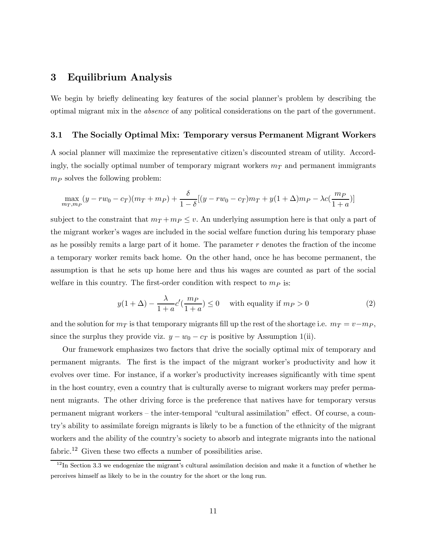### 3 Equilibrium Analysis

We begin by briefly delineating key features of the social planner's problem by describing the optimal migrant mix in the absence of any political considerations on the part of the government.

### 3.1 The Socially Optimal Mix: Temporary versus Permanent Migrant Workers

A social planner will maximize the representative citizenís discounted stream of utility. Accordingly, the socially optimal number of temporary migrant workers  $m<sub>T</sub>$  and permanent immigrants  $m_P$  solves the following problem:

$$
\max_{m_T, m_P} (y - rw_0 - c_T)(m_T + m_P) + \frac{\delta}{1 - \delta} [(y - rw_0 - c_T)m_T + y(1 + \Delta)m_P - \lambda c(\frac{m_P}{1 + a})]
$$

subject to the constraint that  $m_T + m_P \leq v$ . An underlying assumption here is that only a part of the migrant worker's wages are included in the social welfare function during his temporary phase as he possibly remits a large part of it home. The parameter  $r$  denotes the fraction of the income a temporary worker remits back home. On the other hand, once he has become permanent, the assumption is that he sets up home here and thus his wages are counted as part of the social welfare in this country. The first-order condition with respect to  $m_P$  is:

$$
y(1+\Delta) - \frac{\lambda}{1+a}c'(\frac{m_P}{1+a}) \le 0 \quad \text{with equality if } m_P > 0 \tag{2}
$$

and the solution for  $m_T$  is that temporary migrants fill up the rest of the shortage i.e.  $m_T = v - m_P$ , since the surplus they provide viz.  $y - w_0 - c_T$  is positive by Assumption 1(ii).

Our framework emphasizes two factors that drive the socially optimal mix of temporary and permanent migrants. The first is the impact of the migrant worker's productivity and how it evolves over time. For instance, if a worker's productivity increases significantly with time spent in the host country, even a country that is culturally averse to migrant workers may prefer permanent migrants. The other driving force is the preference that natives have for temporary versus permanent migrant workers – the inter-temporal "cultural assimilation" effect. Of course, a countryís ability to assimilate foreign migrants is likely to be a function of the ethnicity of the migrant workers and the ability of the country's society to absorb and integrate migrants into the national fabric.<sup>12</sup> Given these two effects a number of possibilities arise.

 $12$ In Section 3.3 we endogenize the migrant's cultural assimilation decision and make it a function of whether he perceives himself as likely to be in the country for the short or the long run.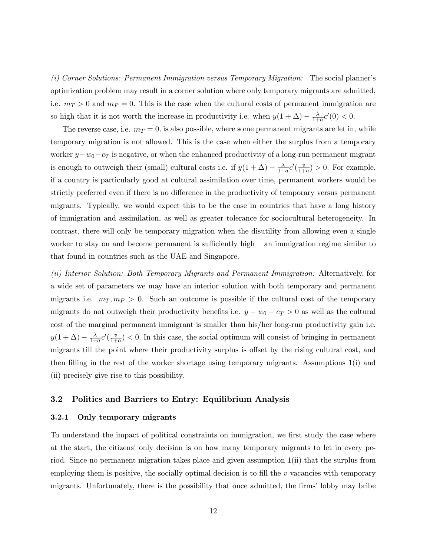(i) Corner Solutions: Permanent Immigration versus Temporary Migration: The social plannerís optimization problem may result in a corner solution where only temporary migrants are admitted, i.e.  $m_T > 0$  and  $m_P = 0$ . This is the case when the cultural costs of permanent immigration are so high that it is not worth the increase in productivity i.e. when  $y(1 + \Delta) - \frac{\lambda}{1+a}c'(0) < 0$ .

The reverse case, i.e.  $m_T = 0$ , is also possible, where some permanent migrants are let in, while temporary migration is not allowed. This is the case when either the surplus from a temporary worker  $y-w_0-c_T$  is negative, or when the enhanced productivity of a long-run permanent migrant is enough to outweigh their (small) cultural costs i.e. if  $y(1+\Delta) - \frac{\lambda}{1+a}c'(\frac{v}{1+a}) > 0$ . For example, if a country is particularly good at cultural assimilation over time, permanent workers would be strictly preferred even if there is no difference in the productivity of temporary versus permanent migrants. Typically, we would expect this to be the case in countries that have a long history of immigration and assimilation, as well as greater tolerance for sociocultural heterogeneity. In contrast, there will only be temporary migration when the disutility from allowing even a single worker to stay on and become permanent is sufficiently high  $-$  an immigration regime similar to that found in countries such as the UAE and Singapore.

(ii) Interior Solution: Both Temporary Migrants and Permanent Immigration: Alternatively, for a wide set of parameters we may have an interior solution with both temporary and permanent migrants i.e.  $m<sub>T</sub>, m<sub>P</sub> > 0$ . Such an outcome is possible if the cultural cost of the temporary migrants do not outweigh their productivity benefits i.e.  $y - w_0 - c_T > 0$  as well as the cultural cost of the marginal permanent immigrant is smaller than his/her long-run productivity gain i.e.  $y(1+\Delta) - \frac{\lambda}{1+a}c'(\frac{v}{1+a}) < 0$ . In this case, the social optimum will consist of bringing in permanent migrants till the point where their productivity surplus is offset by the rising cultural cost, and then filling in the rest of the worker shortage using temporary migrants. Assumptions 1(i) and (ii) precisely give rise to this possibility.

#### 3.2 Politics and Barriers to Entry: Equilibrium Analysis

#### 3.2.1 Only temporary migrants

To understand the impact of political constraints on immigration, we first study the case where at the start, the citizens' only decision is on how many temporary migrants to let in every period. Since no permanent migration takes place and given assumption 1(ii) that the surplus from employing them is positive, the socially optimal decision is to fill the  $v$  vacancies with temporary migrants. Unfortunately, there is the possibility that once admitted, the firmsí lobby may bribe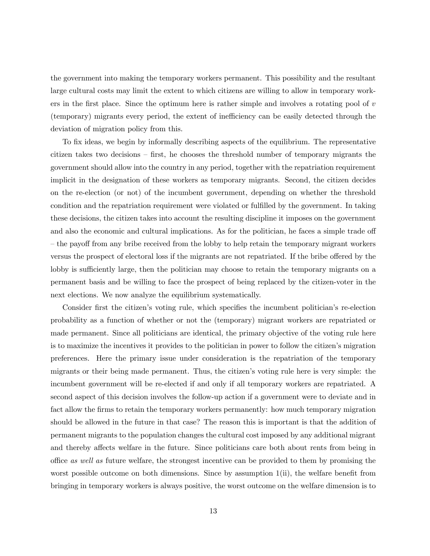the government into making the temporary workers permanent. This possibility and the resultant large cultural costs may limit the extent to which citizens are willing to allow in temporary workers in the first place. Since the optimum here is rather simple and involves a rotating pool of  $v$ (temporary) migrants every period, the extent of inefficiency can be easily detected through the deviation of migration policy from this.

To fix ideas, we begin by informally describing aspects of the equilibrium. The representative citizen takes two decisions  $-$  first, he chooses the threshold number of temporary migrants the government should allow into the country in any period, together with the repatriation requirement implicit in the designation of these workers as temporary migrants. Second, the citizen decides on the re-election (or not) of the incumbent government, depending on whether the threshold condition and the repatriation requirement were violated or fulfilled by the government. In taking these decisions, the citizen takes into account the resulting discipline it imposes on the government and also the economic and cultural implications. As for the politician, he faces a simple trade off ó the payoff from any bribe received from the lobby to help retain the temporary migrant workers versus the prospect of electoral loss if the migrants are not repatriated. If the bribe offered by the lobby is sufficiently large, then the politician may choose to retain the temporary migrants on a permanent basis and be willing to face the prospect of being replaced by the citizen-voter in the next elections. We now analyze the equilibrium systematically.

Consider first the citizen's voting rule, which specifies the incumbent politician's re-election probability as a function of whether or not the (temporary) migrant workers are repatriated or made permanent. Since all politicians are identical, the primary objective of the voting rule here is to maximize the incentives it provides to the politician in power to follow the citizen's migration preferences. Here the primary issue under consideration is the repatriation of the temporary migrants or their being made permanent. Thus, the citizenís voting rule here is very simple: the incumbent government will be re-elected if and only if all temporary workers are repatriated. A second aspect of this decision involves the follow-up action if a government were to deviate and in fact allow the firms to retain the temporary workers permanently: how much temporary migration should be allowed in the future in that case? The reason this is important is that the addition of permanent migrants to the population changes the cultural cost imposed by any additional migrant and thereby affects welfare in the future. Since politicians care both about rents from being in office as well as future welfare, the strongest incentive can be provided to them by promising the worst possible outcome on both dimensions. Since by assumption  $1(ii)$ , the welfare benefit from bringing in temporary workers is always positive, the worst outcome on the welfare dimension is to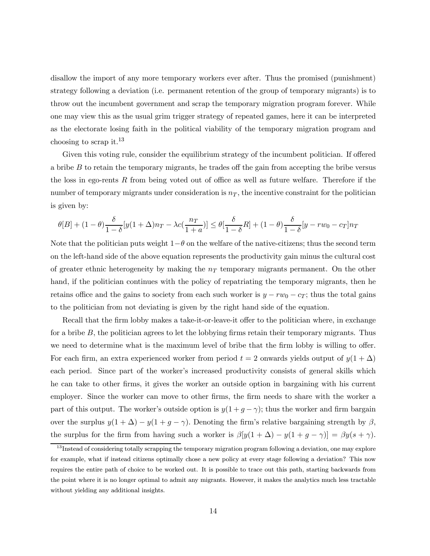disallow the import of any more temporary workers ever after. Thus the promised (punishment) strategy following a deviation (i.e. permanent retention of the group of temporary migrants) is to throw out the incumbent government and scrap the temporary migration program forever. While one may view this as the usual grim trigger strategy of repeated games, here it can be interpreted as the electorate losing faith in the political viability of the temporary migration program and choosing to scrap it.<sup>13</sup>

Given this voting rule, consider the equilibrium strategy of the incumbent politician. If offered a bribe B to retain the temporary migrants, he trades off the gain from accepting the bribe versus the loss in ego-rents  $R$  from being voted out of office as well as future welfare. Therefore if the number of temporary migrants under consideration is  $n<sub>T</sub>$ , the incentive constraint for the politician is given by:

$$
\theta[B] + (1-\theta)\frac{\delta}{1-\delta}[y(1+\Delta)n_T - \lambda c(\frac{n_T}{1+a})] \le \theta[\frac{\delta}{1-\delta}R] + (1-\theta)\frac{\delta}{1-\delta}[y-rw_0 - c_T]n_T
$$

Note that the politician puts weight  $1-\theta$  on the welfare of the native-citizens; thus the second term on the left-hand side of the above equation represents the productivity gain minus the cultural cost of greater ethnic heterogeneity by making the  $n<sub>T</sub>$  temporary migrants permanent. On the other hand, if the politician continues with the policy of repatriating the temporary migrants, then he retains office and the gains to society from each such worker is  $y - rw_0 - c_T$ ; thus the total gains to the politician from not deviating is given by the right hand side of the equation.

Recall that the firm lobby makes a take-it-or-leave-it offer to the politician where, in exchange for a bribe  $B$ , the politician agrees to let the lobbying firms retain their temporary migrants. Thus we need to determine what is the maximum level of bribe that the firm lobby is willing to offer. For each firm, an extra experienced worker from period  $t = 2$  onwards yields output of  $y(1 + \Delta)$ each period. Since part of the worker's increased productivity consists of general skills which he can take to other firms, it gives the worker an outside option in bargaining with his current employer. Since the worker can move to other firms, the firm needs to share with the worker a part of this output. The worker's outside option is  $y(1 + g - \gamma)$ ; thus the worker and firm bargain over the surplus  $y(1 + \Delta) - y(1 + g - \gamma)$ . Denoting the firm's relative bargaining strength by  $\beta$ , the surplus for the firm from having such a worker is  $\beta[y(1 + \Delta) - y(1 + g - \gamma)] = \beta y(s + \gamma)$ .

 $^{13}$ Instead of considering totally scrapping the temporary migration program following a deviation, one may explore for example, what if instead citizens optimally chose a new policy at every stage following a deviation? This now requires the entire path of choice to be worked out. It is possible to trace out this path, starting backwards from the point where it is no longer optimal to admit any migrants. However, it makes the analytics much less tractable without yielding any additional insights.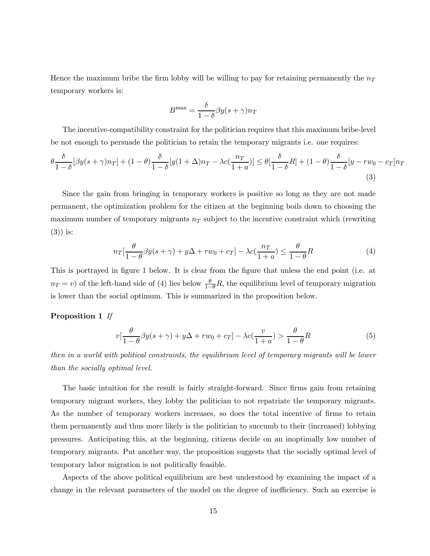Hence the maximum bribe the firm lobby will be willing to pay for retaining permanently the  $n_T$ temporary workers is:

$$
B^{\max} = \frac{\delta}{1-\delta} \beta y(s+\gamma)n_T
$$

The incentive-compatibility constraint for the politician requires that this maximum bribe-level be not enough to persuade the politician to retain the temporary migrants i.e. one requires:

$$
\theta \frac{\delta}{1-\delta} [\beta y(s+\gamma)n_T] + (1-\theta) \frac{\delta}{1-\delta} [y(1+\Delta)n_T - \lambda c(\frac{n_T}{1+a})] \le \theta [\frac{\delta}{1-\delta}R] + (1-\theta) \frac{\delta}{1-\delta} [y - rw_0 - c_T]n_T
$$
\n(3)

Since the gain from bringing in temporary workers is positive so long as they are not made permanent, the optimization problem for the citizen at the beginning boils down to choosing the maximum number of temporary migrants  $n<sub>T</sub>$  subject to the incentive constraint which (rewriting (3)) is:

$$
n_T\left[\frac{\theta}{1-\theta}\beta y(s+\gamma) + y\Delta + rw_0 + c_T\right] - \lambda c\left(\frac{n_T}{1+a}\right) \le \frac{\theta}{1-\theta}R\tag{4}
$$

This is portrayed in figure 1 below. It is clear from the figure that unless the end point (i.e. at  $n_T = v$ ) of the left-hand side of (4) lies below  $\frac{\theta}{1-\theta}R$ , the equilibrium level of temporary migration is lower than the social optimum. This is summarized in the proposition below.

#### Proposition 1 If

$$
v\left[\frac{\theta}{1-\theta}\beta y(s+\gamma) + y\Delta + rw_0 + c_T\right] - \lambda c\left(\frac{v}{1+a}\right) > \frac{\theta}{1-\theta}R\tag{5}
$$

then in a world with political constraints, the equilibrium level of temporary migrants will be lower than the socially optimal level.

The basic intuition for the result is fairly straight-forward. Since firms gain from retaining temporary migrant workers, they lobby the politician to not repatriate the temporary migrants. As the number of temporary workers increases, so does the total incentive of firms to retain them permanently and thus more likely is the politician to succumb to their (increased) lobbying pressures. Anticipating this, at the beginning, citizens decide on an inoptimally low number of temporary migrants. Put another way, the proposition suggests that the socially optimal level of temporary labor migration is not politically feasible.

Aspects of the above political equilibrium are best understood by examining the impact of a change in the relevant parameters of the model on the degree of inefficiency. Such an exercise is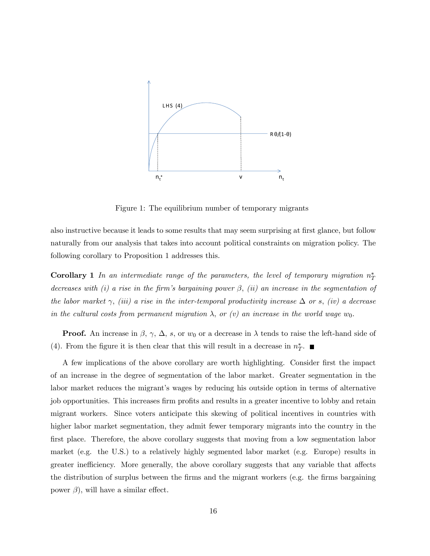

Figure 1: The equilibrium number of temporary migrants

also instructive because it leads to some results that may seem surprising at first glance, but follow naturally from our analysis that takes into account political constraints on migration policy. The following corollary to Proposition 1 addresses this.

**Corollary 1** In an intermediate range of the parameters, the level of temporary migration  $n_T^*$ decreases with (i) a rise in the firm's bargaining power  $\beta$ , (ii) an increase in the segmentation of the labor market  $\gamma$ , (iii) a rise in the inter-temporal productivity increase  $\Delta$  or s, (iv) a decrease in the cultural costs from permanent migration  $\lambda$ , or (v) an increase in the world wage  $w_0$ .

**Proof.** An increase in  $\beta$ ,  $\gamma$ ,  $\Delta$ , s, or  $w_0$  or a decrease in  $\lambda$  tends to raise the left-hand side of (4). From the figure it is then clear that this will result in a decrease in  $n_T^*$ .

A few implications of the above corollary are worth highlighting. Consider first the impact of an increase in the degree of segmentation of the labor market. Greater segmentation in the labor market reduces the migrant's wages by reducing his outside option in terms of alternative job opportunities. This increases firm profits and results in a greater incentive to lobby and retain migrant workers. Since voters anticipate this skewing of political incentives in countries with higher labor market segmentation, they admit fewer temporary migrants into the country in the first place. Therefore, the above corollary suggests that moving from a low segmentation labor market (e.g. the U.S.) to a relatively highly segmented labor market (e.g. Europe) results in greater inefficiency. More generally, the above corollary suggests that any variable that affects the distribution of surplus between the firms and the migrant workers (e.g. the firms bargaining power  $\beta$ ), will have a similar effect.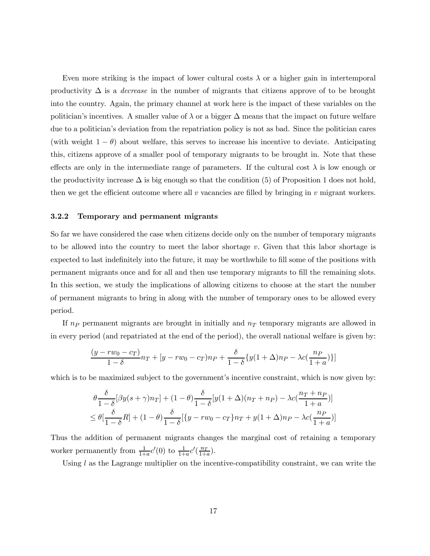Even more striking is the impact of lower cultural costs  $\lambda$  or a higher gain in intertemporal productivity  $\Delta$  is a *decrease* in the number of migrants that citizens approve of to be brought into the country. Again, the primary channel at work here is the impact of these variables on the politician's incentives. A smaller value of  $\lambda$  or a bigger  $\Delta$  means that the impact on future welfare due to a politician's deviation from the repatriation policy is not as bad. Since the politician cares (with weight  $1 - \theta$ ) about welfare, this serves to increase his incentive to deviate. Anticipating this, citizens approve of a smaller pool of temporary migrants to be brought in. Note that these effects are only in the intermediate range of parameters. If the cultural cost  $\lambda$  is low enough or the productivity increase  $\Delta$  is big enough so that the condition (5) of Proposition 1 does not hold, then we get the efficient outcome where all  $v$  vacancies are filled by bringing in  $v$  migrant workers.

#### 3.2.2 Temporary and permanent migrants

So far we have considered the case when citizens decide only on the number of temporary migrants to be allowed into the country to meet the labor shortage  $v$ . Given that this labor shortage is expected to last indefinitely into the future, it may be worthwhile to fill some of the positions with permanent migrants once and for all and then use temporary migrants to fill the remaining slots. In this section, we study the implications of allowing citizens to choose at the start the number of permanent migrants to bring in along with the number of temporary ones to be allowed every period.

If  $n_P$  permanent migrants are brought in initially and  $n_T$  temporary migrants are allowed in in every period (and repatriated at the end of the period), the overall national welfare is given by:

$$
\frac{(y - rw_0 - c_T)}{1 - \delta}n_T + [y - rw_0 - c_T)n_P + \frac{\delta}{1 - \delta}\{y(1 + \Delta)n_P - \lambda c(\frac{n_P}{1 + a})\}]
$$

which is to be maximized subject to the government's incentive constraint, which is now given by:

$$
\theta \frac{\delta}{1-\delta} [\beta y(s+\gamma)n_T] + (1-\theta) \frac{\delta}{1-\delta} [y(1+\Delta)(n_T+n_P) - \lambda c(\frac{n_T+n_P}{1+a})]
$$
  
\n
$$
\leq \theta [\frac{\delta}{1-\delta}R] + (1-\theta) \frac{\delta}{1-\delta} [\{y-rw_0-c_T\}n_T + y(1+\Delta)n_P - \lambda c(\frac{n_P}{1+a})]
$$

Thus the addition of permanent migrants changes the marginal cost of retaining a temporary worker permanently from  $\frac{1}{1+a}c'(0)$  to  $\frac{1}{1+a}c'(\frac{n_T}{1+a})$ .

Using  $l$  as the Lagrange multiplier on the incentive-compatibility constraint, we can write the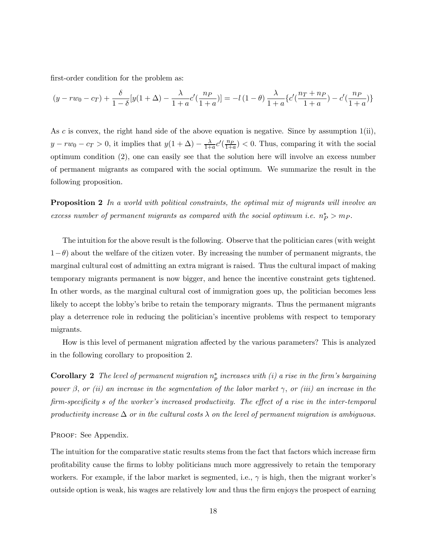first-order condition for the problem as:

$$
(y - rw_0 - c_T) + \frac{\delta}{1 - \delta} [y(1 + \Delta) - \frac{\lambda}{1 + a} c'(\frac{n_P}{1 + a})] = -l(1 - \theta) \frac{\lambda}{1 + a} \{c'(\frac{n_T + n_P}{1 + a}) - c'(\frac{n_P}{1 + a})\}
$$

As c is convex, the right hand side of the above equation is negative. Since by assumption  $1(i)$ ,  $y - rw_0 - c_T > 0$ , it implies that  $y(1 + \Delta) - \frac{\lambda}{1+a}c'(\frac{n_P}{1+a}) < 0$ . Thus, comparing it with the social optimum condition (2), one can easily see that the solution here will involve an excess number of permanent migrants as compared with the social optimum. We summarize the result in the following proposition.

**Proposition 2** In a world with political constraints, the optimal mix of migrants will involve an excess number of permanent migrants as compared with the social optimum i.e.  $n_P^* > m_P$ .

The intuition for the above result is the following. Observe that the politician cares (with weight  $1-\theta$ ) about the welfare of the citizen voter. By increasing the number of permanent migrants, the marginal cultural cost of admitting an extra migrant is raised. Thus the cultural impact of making temporary migrants permanent is now bigger, and hence the incentive constraint gets tightened. In other words, as the marginal cultural cost of immigration goes up, the politician becomes less likely to accept the lobby's bribe to retain the temporary migrants. Thus the permanent migrants play a deterrence role in reducing the politicianís incentive problems with respect to temporary migrants.

How is this level of permanent migration affected by the various parameters? This is analyzed in the following corollary to proposition 2.

**Corollary 2** The level of permanent migration  $n_p^*$  increases with (i) a rise in the firm's bargaining power  $\beta$ , or (ii) an increase in the segmentation of the labor market  $\gamma$ , or (iii) an increase in the firm-specificity s of the worker's increased productivity. The effect of a rise in the inter-temporal productivity increase  $\Delta$  or in the cultural costs  $\lambda$  on the level of permanent migration is ambiguous.

#### PROOF: See Appendix.

The intuition for the comparative static results stems from the fact that factors which increase firm profitability cause the firms to lobby politicians much more aggressively to retain the temporary workers. For example, if the labor market is segmented, i.e.,  $\gamma$  is high, then the migrant worker's outside option is weak, his wages are relatively low and thus the firm enjoys the prospect of earning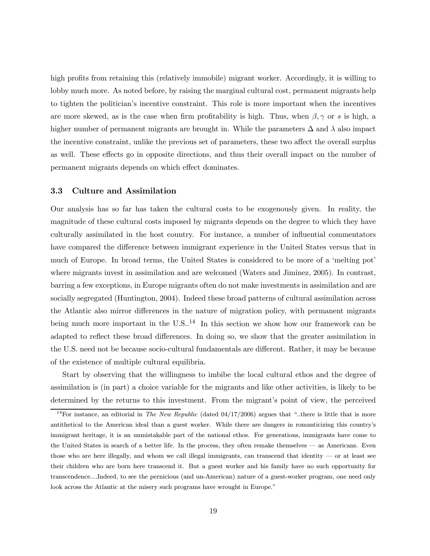high profits from retaining this (relatively immobile) migrant worker. Accordingly, it is willing to lobby much more. As noted before, by raising the marginal cultural cost, permanent migrants help to tighten the politicianís incentive constraint. This role is more important when the incentives are more skewed, as is the case when firm profitability is high. Thus, when  $\beta$ ,  $\gamma$  or s is high, a higher number of permanent migrants are brought in. While the parameters  $\Delta$  and  $\lambda$  also impact the incentive constraint, unlike the previous set of parameters, these two affect the overall surplus as well. These effects go in opposite directions, and thus their overall impact on the number of permanent migrants depends on which effect dominates.

#### 3.3 Culture and Assimilation

Our analysis has so far has taken the cultural costs to be exogenously given. In reality, the magnitude of these cultural costs imposed by migrants depends on the degree to which they have culturally assimilated in the host country. For instance, a number of influential commentators have compared the difference between immigrant experience in the United States versus that in much of Europe. In broad terms, the United States is considered to be more of a 'melting pot' where migrants invest in assimilation and are welcomed (Waters and Jiminez, 2005). In contrast, barring a few exceptions, in Europe migrants often do not make investments in assimilation and are socially segregated (Huntington, 2004). Indeed these broad patterns of cultural assimilation across the Atlantic also mirror differences in the nature of migration policy, with permanent migrants being much more important in the  $U.S.^{14}$  In this section we show how our framework can be adapted to reflect these broad differences. In doing so, we show that the greater assimilation in the U.S. need not be because socio-cultural fundamentals are different. Rather, it may be because of the existence of multiple cultural equilibria.

Start by observing that the willingness to imbibe the local cultural ethos and the degree of assimilation is (in part) a choice variable for the migrants and like other activities, is likely to be determined by the returns to this investment. From the migrant's point of view, the perceived

<sup>&</sup>lt;sup>14</sup>For instance, an editorial in *The New Republic* (dated  $04/17/2006$ ) argues that "..there is little that is more antithetical to the American ideal than a guest worker. While there are dangers in romanticizing this countryís immigrant heritage, it is an unmistakable part of the national ethos. For generations, immigrants have come to the United States in search of a better life. In the process, they often remake themselves — as Americans. Even those who are here illegally, and whom we call illegal immigrants, can transcend that identity  $\sim$  or at least see their children who are born here transcend it. But a guest worker and his family have no such opportunity for transcendence....Indeed, to see the pernicious (and un-American) nature of a guest-worker program, one need only look across the Atlantic at the misery such programs have wrought in Europe."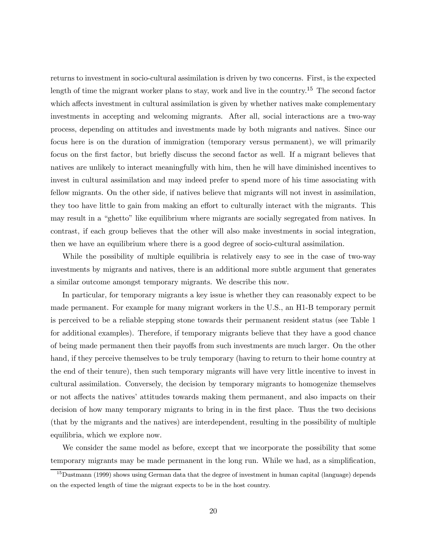returns to investment in socio-cultural assimilation is driven by two concerns. First, is the expected length of time the migrant worker plans to stay, work and live in the country.<sup>15</sup> The second factor which affects investment in cultural assimilation is given by whether natives make complementary investments in accepting and welcoming migrants. After all, social interactions are a two-way process, depending on attitudes and investments made by both migrants and natives. Since our focus here is on the duration of immigration (temporary versus permanent), we will primarily focus on the first factor, but briefly discuss the second factor as well. If a migrant believes that natives are unlikely to interact meaningfully with him, then he will have diminished incentives to invest in cultural assimilation and may indeed prefer to spend more of his time associating with fellow migrants. On the other side, if natives believe that migrants will not invest in assimilation, they too have little to gain from making an effort to culturally interact with the migrants. This may result in a "ghetto" like equilibrium where migrants are socially segregated from natives. In contrast, if each group believes that the other will also make investments in social integration, then we have an equilibrium where there is a good degree of socio-cultural assimilation.

While the possibility of multiple equilibria is relatively easy to see in the case of two-way investments by migrants and natives, there is an additional more subtle argument that generates a similar outcome amongst temporary migrants. We describe this now.

In particular, for temporary migrants a key issue is whether they can reasonably expect to be made permanent. For example for many migrant workers in the U.S., an H1-B temporary permit is perceived to be a reliable stepping stone towards their permanent resident status (see Table 1 for additional examples). Therefore, if temporary migrants believe that they have a good chance of being made permanent then their payoffs from such investments are much larger. On the other hand, if they perceive themselves to be truly temporary (having to return to their home country at the end of their tenure), then such temporary migrants will have very little incentive to invest in cultural assimilation. Conversely, the decision by temporary migrants to homogenize themselves or not affects the nativesí attitudes towards making them permanent, and also impacts on their decision of how many temporary migrants to bring in in the first place. Thus the two decisions (that by the migrants and the natives) are interdependent, resulting in the possibility of multiple equilibria, which we explore now.

We consider the same model as before, except that we incorporate the possibility that some temporary migrants may be made permanent in the long run. While we had, as a simplification,

<sup>&</sup>lt;sup>15</sup>Dustmann (1999) shows using German data that the degree of investment in human capital (language) depends on the expected length of time the migrant expects to be in the host country.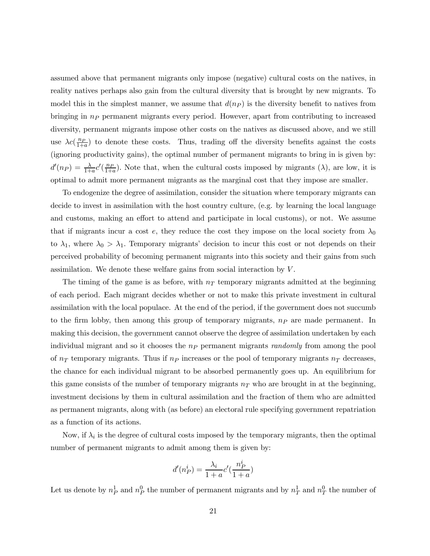assumed above that permanent migrants only impose (negative) cultural costs on the natives, in reality natives perhaps also gain from the cultural diversity that is brought by new migrants. To model this in the simplest manner, we assume that  $d(np)$  is the diversity benefit to natives from bringing in  $n_P$  permanent migrants every period. However, apart from contributing to increased diversity, permanent migrants impose other costs on the natives as discussed above, and we still use  $\lambda c(\frac{np}{1+a})$  to denote these costs. Thus, trading off the diversity benefits against the costs (ignoring productivity gains), the optimal number of permanent migrants to bring in is given by:  $d'(n_P) = \frac{\lambda}{1+a} c'(\frac{n_P}{1+a})$ . Note that, when the cultural costs imposed by migrants ( $\lambda$ ), are low, it is optimal to admit more permanent migrants as the marginal cost that they impose are smaller.

To endogenize the degree of assimilation, consider the situation where temporary migrants can decide to invest in assimilation with the host country culture, (e.g. by learning the local language and customs, making an effort to attend and participate in local customs), or not. We assume that if migrants incur a cost e, they reduce the cost they impose on the local society from  $\lambda_0$ to  $\lambda_1$ , where  $\lambda_0 > \lambda_1$ . Temporary migrants' decision to incur this cost or not depends on their perceived probability of becoming permanent migrants into this society and their gains from such assimilation. We denote these welfare gains from social interaction by V .

The timing of the game is as before, with  $n<sub>T</sub>$  temporary migrants admitted at the beginning of each period. Each migrant decides whether or not to make this private investment in cultural assimilation with the local populace. At the end of the period, if the government does not succumb to the firm lobby, then among this group of temporary migrants,  $n<sub>P</sub>$  are made permanent. In making this decision, the government cannot observe the degree of assimilation undertaken by each individual migrant and so it chooses the  $n_P$  permanent migrants *randomly* from among the pool of  $n<sub>T</sub>$  temporary migrants. Thus if  $n<sub>P</sub>$  increases or the pool of temporary migrants  $n<sub>T</sub>$  decreases, the chance for each individual migrant to be absorbed permanently goes up. An equilibrium for this game consists of the number of temporary migrants  $n<sub>T</sub>$  who are brought in at the beginning, investment decisions by them in cultural assimilation and the fraction of them who are admitted as permanent migrants, along with (as before) an electoral rule specifying government repatriation as a function of its actions.

Now, if  $\lambda_i$  is the degree of cultural costs imposed by the temporary migrants, then the optimal number of permanent migrants to admit among them is given by:

$$
d'(n_P^i) = \frac{\lambda_i}{1+a}c'(\frac{n_P^i}{1+a})
$$

Let us denote by  $n_P^1$  and  $n_P^0$  the number of permanent migrants and by  $n_T^1$  and  $n_T^0$  the number of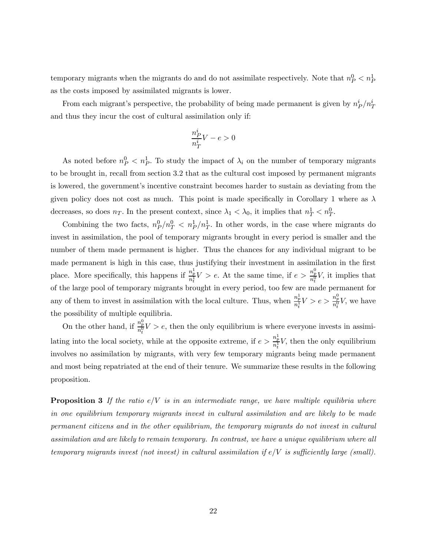temporary migrants when the migrants do and do not assimilate respectively. Note that  $n_P^0 < n_P^1$ as the costs imposed by assimilated migrants is lower.

From each migrant's perspective, the probability of being made permanent is given by  $n_P^i/n_T^i$ and thus they incur the cost of cultural assimilation only if:

$$
\frac{n_P^i}{n_T^i}V - e > 0
$$

As noted before  $n_P^0 < n_P^1$ . To study the impact of  $\lambda_i$  on the number of temporary migrants to be brought in, recall from section 3.2 that as the cultural cost imposed by permanent migrants is lowered, the government's incentive constraint becomes harder to sustain as deviating from the given policy does not cost as much. This point is made specifically in Corollary 1 where as  $\lambda$ decreases, so does  $n_T$ . In the present context, since  $\lambda_1 < \lambda_0$ , it implies that  $n_T^1 < n_T^0$ .

Combining the two facts,  $n_P^0/n_T^0 < n_P^1/n_T^1$ . In other words, in the case where migrants do invest in assimilation, the pool of temporary migrants brought in every period is smaller and the number of them made permanent is higher. Thus the chances for any individual migrant to be made permanent is high in this case, thus justifying their investment in assimilation in the first place. More specifically, this happens if  $\frac{n_p^1}{n_t^1}V > e$ . At the same time, if  $e > \frac{n_p^0}{n_t^0}V$ , it implies that of the large pool of temporary migrants brought in every period, too few are made permanent for any of them to invest in assimilation with the local culture. Thus, when  $\frac{n_p^1}{n_t^1}V > e > \frac{n_p^0}{n_t^0}V$ , we have the possibility of multiple equilibria.

On the other hand, if  $\frac{n_p^0}{n_t^0} V > e$ , then the only equilibrium is where everyone invests in assimilating into the local society, while at the opposite extreme, if  $e > \frac{n_p^1}{n_t^1} V$ , then the only equilibrium involves no assimilation by migrants, with very few temporary migrants being made permanent and most being repatriated at the end of their tenure. We summarize these results in the following proposition.

**Proposition 3** If the ratio  $e/V$  is in an intermediate range, we have multiple equilibria where in one equilibrium temporary migrants invest in cultural assimilation and are likely to be made permanent citizens and in the other equilibrium, the temporary migrants do not invest in cultural assimilation and are likely to remain temporary. In contrast, we have a unique equilibrium where all temporary migrants invest (not invest) in cultural assimilation if  $e/V$  is sufficiently large (small).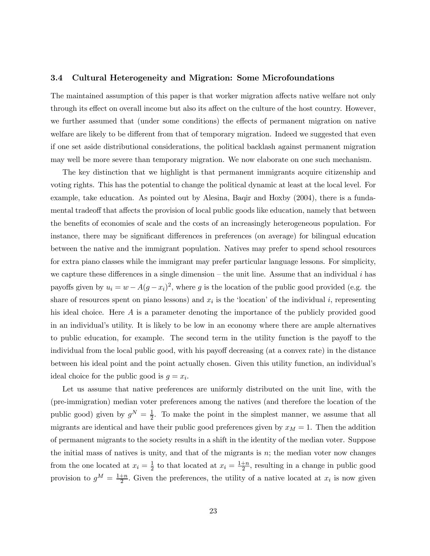#### 3.4 Cultural Heterogeneity and Migration: Some Microfoundations

The maintained assumption of this paper is that worker migration affects native welfare not only through its effect on overall income but also its affect on the culture of the host country. However, we further assumed that (under some conditions) the effects of permanent migration on native welfare are likely to be different from that of temporary migration. Indeed we suggested that even if one set aside distributional considerations, the political backlash against permanent migration may well be more severe than temporary migration. We now elaborate on one such mechanism.

The key distinction that we highlight is that permanent immigrants acquire citizenship and voting rights. This has the potential to change the political dynamic at least at the local level. For example, take education. As pointed out by Alesina, Baqir and Hoxby (2004), there is a fundamental tradeoff that affects the provision of local public goods like education, namely that between the benefits of economies of scale and the costs of an increasingly heterogeneous population. For instance, there may be significant differences in preferences (on average) for bilingual education between the native and the immigrant population. Natives may prefer to spend school resources for extra piano classes while the immigrant may prefer particular language lessons. For simplicity, we capture these differences in a single dimension – the unit line. Assume that an individual  $i$  has payoffs given by  $u_i = w - A(g - x_i)^2$ , where g is the location of the public good provided (e.g. the share of resources spent on piano lessons) and  $x_i$  is the 'location' of the individual i, representing his ideal choice. Here A is a parameter denoting the importance of the publicly provided good in an individual's utility. It is likely to be low in an economy where there are ample alternatives to public education, for example. The second term in the utility function is the payoff to the individual from the local public good, with his payoff decreasing (at a convex rate) in the distance between his ideal point and the point actually chosen. Given this utility function, an individualís ideal choice for the public good is  $g = x_i$ .

Let us assume that native preferences are uniformly distributed on the unit line, with the (pre-immigration) median voter preferences among the natives (and therefore the location of the public good) given by  $g^N = \frac{1}{2}$ . To make the point in the simplest manner, we assume that all migrants are identical and have their public good preferences given by  $x_M = 1$ . Then the addition of permanent migrants to the society results in a shift in the identity of the median voter. Suppose the initial mass of natives is unity, and that of the migrants is  $n$ ; the median voter now changes from the one located at  $x_i = \frac{1}{2}$  to that located at  $x_i = \frac{1+n}{2}$ , resulting in a change in public good provision to  $g^M = \frac{1+n}{2}$ . Given the preferences, the utility of a native located at  $x_i$  is now given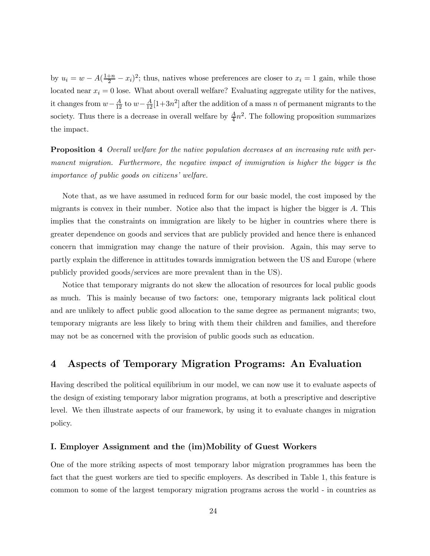by  $u_i = w - A(\frac{1+n}{2} - x_i)^2$ ; thus, natives whose preferences are closer to  $x_i = 1$  gain, while those located near  $x_i = 0$  lose. What about overall welfare? Evaluating aggregate utility for the natives, it changes from  $w - \frac{A}{12}$  to  $w - \frac{A}{12} [1 + 3n^2]$  after the addition of a mass n of permanent migrants to the society. Thus there is a decrease in overall welfare by  $\frac{A}{4}n^2$ . The following proposition summarizes the impact.

**Proposition 4** Overall welfare for the native population decreases at an increasing rate with permanent migration. Furthermore, the negative impact of immigration is higher the bigger is the importance of public goods on citizens' welfare.

Note that, as we have assumed in reduced form for our basic model, the cost imposed by the migrants is convex in their number. Notice also that the impact is higher the bigger is A. This implies that the constraints on immigration are likely to be higher in countries where there is greater dependence on goods and services that are publicly provided and hence there is enhanced concern that immigration may change the nature of their provision. Again, this may serve to partly explain the difference in attitudes towards immigration between the US and Europe (where publicly provided goods/services are more prevalent than in the US).

Notice that temporary migrants do not skew the allocation of resources for local public goods as much. This is mainly because of two factors: one, temporary migrants lack political clout and are unlikely to affect public good allocation to the same degree as permanent migrants; two, temporary migrants are less likely to bring with them their children and families, and therefore may not be as concerned with the provision of public goods such as education.

# 4 Aspects of Temporary Migration Programs: An Evaluation

Having described the political equilibrium in our model, we can now use it to evaluate aspects of the design of existing temporary labor migration programs, at both a prescriptive and descriptive level. We then illustrate aspects of our framework, by using it to evaluate changes in migration policy.

#### I. Employer Assignment and the (im)Mobility of Guest Workers

One of the more striking aspects of most temporary labor migration programmes has been the fact that the guest workers are tied to specific employers. As described in Table 1, this feature is common to some of the largest temporary migration programs across the world - in countries as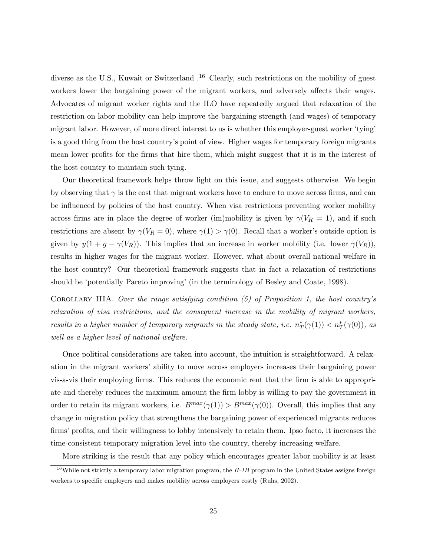diverse as the U.S., Kuwait or Switzerland  $.16$  Clearly, such restrictions on the mobility of guest workers lower the bargaining power of the migrant workers, and adversely affects their wages. Advocates of migrant worker rights and the ILO have repeatedly argued that relaxation of the restriction on labor mobility can help improve the bargaining strength (and wages) of temporary migrant labor. However, of more direct interest to us is whether this employer-guest worker 'tying' is a good thing from the host countryís point of view. Higher wages for temporary foreign migrants mean lower profits for the firms that hire them, which might suggest that it is in the interest of the host country to maintain such tying.

Our theoretical framework helps throw light on this issue, and suggests otherwise. We begin by observing that  $\gamma$  is the cost that migrant workers have to endure to move across firms, and can be influenced by policies of the host country. When visa restrictions preventing worker mobility across firms are in place the degree of worker (im)mobility is given by  $\gamma(V_R = 1)$ , and if such restrictions are absent by  $\gamma(V_R = 0)$ , where  $\gamma(1) > \gamma(0)$ . Recall that a worker's outside option is given by  $y(1 + g - \gamma(V_R))$ . This implies that an increase in worker mobility (i.e. lower  $\gamma(V_R)$ ), results in higher wages for the migrant worker. However, what about overall national welfare in the host country? Our theoretical framework suggests that in fact a relaxation of restrictions should be 'potentially Pareto improving' (in the terminology of Besley and Coate, 1998).

COROLLARY IIIA. Over the range satisfying condition  $(5)$  of Proposition 1, the host country's relaxation of visa restrictions, and the consequent increase in the mobility of migrant workers, results in a higher number of temporary migrants in the steady state, i.e.  $n_T^*(\gamma(1)) < n_T^*(\gamma(0))$ , as well as a higher level of national welfare.

Once political considerations are taken into account, the intuition is straightforward. A relaxation in the migrant workersí ability to move across employers increases their bargaining power vis-a-vis their employing firms. This reduces the economic rent that the firm is able to appropriate and thereby reduces the maximum amount the firm lobby is willing to pay the government in order to retain its migrant workers, i.e.  $B^{max}(\gamma(1)) > B^{max}(\gamma(0))$ . Overall, this implies that any change in migration policy that strengthens the bargaining power of experienced migrants reduces firmsí profits, and their willingness to lobby intensively to retain them. Ipso facto, it increases the time-consistent temporary migration level into the country, thereby increasing welfare.

More striking is the result that any policy which encourages greater labor mobility is at least

<sup>&</sup>lt;sup>16</sup>While not strictly a temporary labor migration program, the  $H$ -1B program in the United States assigns foreign workers to specific employers and makes mobility across employers costly (Ruhs, 2002).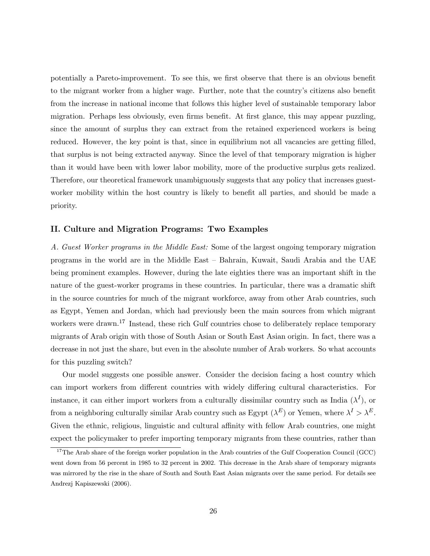potentially a Pareto-improvement. To see this, we first observe that there is an obvious benefit to the migrant worker from a higher wage. Further, note that the country's citizens also benefit from the increase in national income that follows this higher level of sustainable temporary labor migration. Perhaps less obviously, even firms benefit. At first glance, this may appear puzzling, since the amount of surplus they can extract from the retained experienced workers is being reduced. However, the key point is that, since in equilibrium not all vacancies are getting filled, that surplus is not being extracted anyway. Since the level of that temporary migration is higher than it would have been with lower labor mobility, more of the productive surplus gets realized. Therefore, our theoretical framework unambiguously suggests that any policy that increases guestworker mobility within the host country is likely to benefit all parties, and should be made a priority.

#### II. Culture and Migration Programs: Two Examples

A. Guest Worker programs in the Middle East: Some of the largest ongoing temporary migration programs in the world are in the Middle East – Bahrain, Kuwait, Saudi Arabia and the UAE being prominent examples. However, during the late eighties there was an important shift in the nature of the guest-worker programs in these countries. In particular, there was a dramatic shift in the source countries for much of the migrant workforce, away from other Arab countries, such as Egypt, Yemen and Jordan, which had previously been the main sources from which migrant workers were drawn.<sup>17</sup> Instead, these rich Gulf countries chose to deliberately replace temporary migrants of Arab origin with those of South Asian or South East Asian origin. In fact, there was a decrease in not just the share, but even in the absolute number of Arab workers. So what accounts for this puzzling switch?

Our model suggests one possible answer. Consider the decision facing a host country which can import workers from different countries with widely differing cultural characteristics. For instance, it can either import workers from a culturally dissimilar country such as India  $(\lambda^I)$ , or from a neighboring culturally similar Arab country such as Egypt  $(\lambda^E)$  or Yemen, where  $\lambda^I > \lambda^E$ . Given the ethnic, religious, linguistic and cultural affinity with fellow Arab countries, one might expect the policymaker to prefer importing temporary migrants from these countries, rather than

<sup>&</sup>lt;sup>17</sup>The Arab share of the foreign worker population in the Arab countries of the Gulf Cooperation Council (GCC) went down from 56 percent in 1985 to 32 percent in 2002. This decrease in the Arab share of temporary migrants was mirrored by the rise in the share of South and South East Asian migrants over the same period. For details see Andrezj Kapiszewski (2006).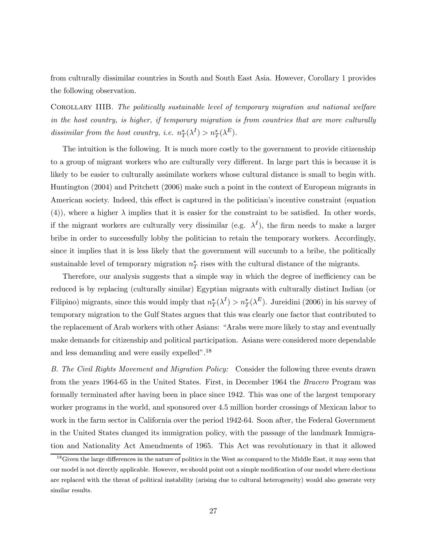from culturally dissimilar countries in South and South East Asia. However, Corollary 1 provides the following observation.

Corollary IIIB. The politically sustainable level of temporary migration and national welfare in the host country, is higher, if temporary migration is from countries that are more culturally dissimilar from the host country, i.e.  $n_T^*(\lambda^I) > n_T^*(\lambda^E)$ .

The intuition is the following. It is much more costly to the government to provide citizenship to a group of migrant workers who are culturally very different. In large part this is because it is likely to be easier to culturally assimilate workers whose cultural distance is small to begin with. Huntington (2004) and Pritchett (2006) make such a point in the context of European migrants in American society. Indeed, this effect is captured in the politician's incentive constraint (equation (4)), where a higher  $\lambda$  implies that it is easier for the constraint to be satisfied. In other words, if the migrant workers are culturally very dissimilar (e.g.  $\lambda^I$ ), the firm needs to make a larger bribe in order to successfully lobby the politician to retain the temporary workers. Accordingly, since it implies that it is less likely that the government will succumb to a bribe, the politically sustainable level of temporary migration  $n_T^*$  rises with the cultural distance of the migrants.

Therefore, our analysis suggests that a simple way in which the degree of inefficiency can be reduced is by replacing (culturally similar) Egyptian migrants with culturally distinct Indian (or Filipino) migrants, since this would imply that  $n_T^*(\lambda^I) > n_T^*(\lambda^E)$ . Jureidini (2006) in his survey of temporary migration to the Gulf States argues that this was clearly one factor that contributed to the replacement of Arab workers with other Asians: "Arabs were more likely to stay and eventually make demands for citizenship and political participation. Asians were considered more dependable and less demanding and were easily expelled".<sup>18</sup>

B. The Civil Rights Movement and Migration Policy: Consider the following three events drawn from the years 1964-65 in the United States. First, in December 1964 the Bracero Program was formally terminated after having been in place since 1942. This was one of the largest temporary worker programs in the world, and sponsored over 4.5 million border crossings of Mexican labor to work in the farm sector in California over the period 1942-64. Soon after, the Federal Government in the United States changed its immigration policy, with the passage of the landmark Immigration and Nationality Act Amendments of 1965. This Act was revolutionary in that it allowed

<sup>&</sup>lt;sup>18</sup>Given the large differences in the nature of politics in the West as compared to the Middle East, it may seem that our model is not directly applicable. However, we should point out a simple modification of our model where elections are replaced with the threat of political instability (arising due to cultural heterogeneity) would also generate very similar results.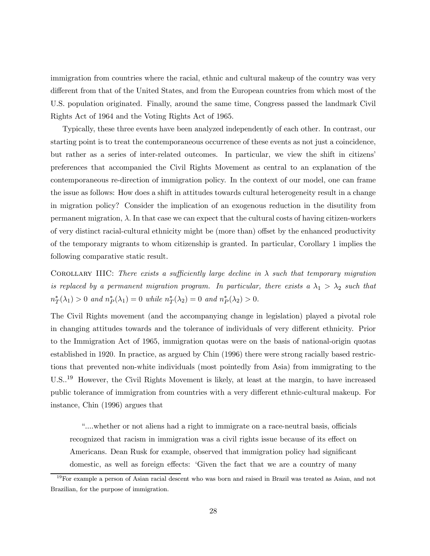immigration from countries where the racial, ethnic and cultural makeup of the country was very different from that of the United States, and from the European countries from which most of the U.S. population originated. Finally, around the same time, Congress passed the landmark Civil Rights Act of 1964 and the Voting Rights Act of 1965.

Typically, these three events have been analyzed independently of each other. In contrast, our starting point is to treat the contemporaneous occurrence of these events as not just a coincidence, but rather as a series of inter-related outcomes. In particular, we view the shift in citizens' preferences that accompanied the Civil Rights Movement as central to an explanation of the contemporaneous re-direction of immigration policy. In the context of our model, one can frame the issue as follows: How does a shift in attitudes towards cultural heterogeneity result in a change in migration policy? Consider the implication of an exogenous reduction in the disutility from permanent migration,  $\lambda$ . In that case we can expect that the cultural costs of having citizen-workers of very distinct racial-cultural ethnicity might be (more than) offset by the enhanced productivity of the temporary migrants to whom citizenship is granted. In particular, Corollary 1 implies the following comparative static result.

COROLLARY IIIC: There exists a sufficiently large decline in  $\lambda$  such that temporary migration is replaced by a permanent migration program. In particular, there exists a  $\lambda_1 > \lambda_2$  such that  $n_T^*(\lambda_1) > 0$  and  $n_P^*(\lambda_1) = 0$  while  $n_T^*(\lambda_2) = 0$  and  $n_P^*(\lambda_2) > 0$ .

The Civil Rights movement (and the accompanying change in legislation) played a pivotal role in changing attitudes towards and the tolerance of individuals of very different ethnicity. Prior to the Immigration Act of 1965, immigration quotas were on the basis of national-origin quotas established in 1920. In practice, as argued by Chin (1996) there were strong racially based restrictions that prevented non-white individuals (most pointedly from Asia) from immigrating to the U.S..<sup>19</sup> However, the Civil Rights Movement is likely, at least at the margin, to have increased public tolerance of immigration from countries with a very different ethnic-cultural makeup. For instance, Chin (1996) argues that

ì....whether or not aliens had a right to immigrate on a race-neutral basis, officials recognized that racism in immigration was a civil rights issue because of its effect on Americans. Dean Rusk for example, observed that immigration policy had significant domestic, as well as foreign effects: ëGiven the fact that we are a country of many

<sup>&</sup>lt;sup>19</sup>For example a person of Asian racial descent who was born and raised in Brazil was treated as Asian, and not Brazilian, for the purpose of immigration.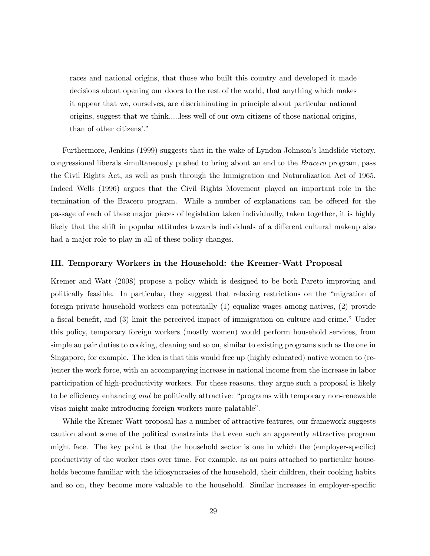races and national origins, that those who built this country and developed it made decisions about opening our doors to the rest of the world, that anything which makes it appear that we, ourselves, are discriminating in principle about particular national origins, suggest that we think.....less well of our own citizens of those national origins, than of other citizens'."

Furthermore, Jenkins (1999) suggests that in the wake of Lyndon Johnson's landslide victory, congressional liberals simultaneously pushed to bring about an end to the Bracero program, pass the Civil Rights Act, as well as push through the Immigration and Naturalization Act of 1965. Indeed Wells (1996) argues that the Civil Rights Movement played an important role in the termination of the Bracero program. While a number of explanations can be offered for the passage of each of these major pieces of legislation taken individually, taken together, it is highly likely that the shift in popular attitudes towards individuals of a different cultural makeup also had a major role to play in all of these policy changes.

#### III. Temporary Workers in the Household: the Kremer-Watt Proposal

Kremer and Watt (2008) propose a policy which is designed to be both Pareto improving and politically feasible. In particular, they suggest that relaxing restrictions on the "migration of foreign private household workers can potentially (1) equalize wages among natives, (2) provide a fiscal benefit, and (3) limit the perceived impact of immigration on culture and crime." Under this policy, temporary foreign workers (mostly women) would perform household services, from simple au pair duties to cooking, cleaning and so on, similar to existing programs such as the one in Singapore, for example. The idea is that this would free up (highly educated) native women to (re- )enter the work force, with an accompanying increase in national income from the increase in labor participation of high-productivity workers. For these reasons, they argue such a proposal is likely to be efficiency enhancing and be politically attractive: "programs with temporary non-renewable visas might make introducing foreign workers more palatable".

While the Kremer-Watt proposal has a number of attractive features, our framework suggests caution about some of the political constraints that even such an apparently attractive program might face. The key point is that the household sector is one in which the (employer-specific) productivity of the worker rises over time. For example, as au pairs attached to particular households become familiar with the idiosyncrasies of the household, their children, their cooking habits and so on, they become more valuable to the household. Similar increases in employer-specific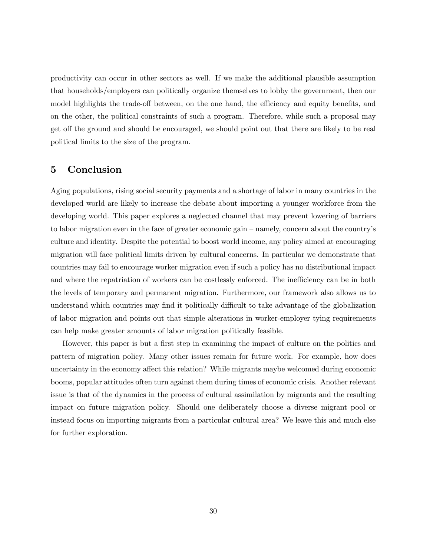productivity can occur in other sectors as well. If we make the additional plausible assumption that households/employers can politically organize themselves to lobby the government, then our model highlights the trade-off between, on the one hand, the efficiency and equity benefits, and on the other, the political constraints of such a program. Therefore, while such a proposal may get off the ground and should be encouraged, we should point out that there are likely to be real political limits to the size of the program.

### 5 Conclusion

Aging populations, rising social security payments and a shortage of labor in many countries in the developed world are likely to increase the debate about importing a younger workforce from the developing world. This paper explores a neglected channel that may prevent lowering of barriers to labor migration even in the face of greater economic gain – namely, concern about the country's culture and identity. Despite the potential to boost world income, any policy aimed at encouraging migration will face political limits driven by cultural concerns. In particular we demonstrate that countries may fail to encourage worker migration even if such a policy has no distributional impact and where the repatriation of workers can be costlessly enforced. The inefficiency can be in both the levels of temporary and permanent migration. Furthermore, our framework also allows us to understand which countries may find it politically difficult to take advantage of the globalization of labor migration and points out that simple alterations in worker-employer tying requirements can help make greater amounts of labor migration politically feasible.

However, this paper is but a first step in examining the impact of culture on the politics and pattern of migration policy. Many other issues remain for future work. For example, how does uncertainty in the economy affect this relation? While migrants maybe welcomed during economic booms, popular attitudes often turn against them during times of economic crisis. Another relevant issue is that of the dynamics in the process of cultural assimilation by migrants and the resulting impact on future migration policy. Should one deliberately choose a diverse migrant pool or instead focus on importing migrants from a particular cultural area? We leave this and much else for further exploration.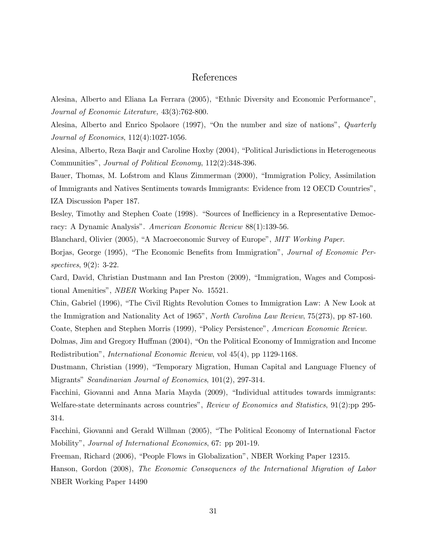# References

Alesina, Alberto and Eliana La Ferrara (2005), "Ethnic Diversity and Economic Performance", Journal of Economic Literature, 43(3):762-800.

Alesina, Alberto and Enrico Spolaore (1997), "On the number and size of nations",  $Quarterly$ Journal of Economics, 112(4):1027-1056.

Alesina, Alberto, Reza Baqir and Caroline Hoxby (2004), "Political Jurisdictions in Heterogeneous Communities", Journal of Political Economy, 112(2):348-396.

Bauer, Thomas, M. Lofstrom and Klaus Zimmerman (2000), "Immigration Policy, Assimilation of Immigrants and Natives Sentiments towards Immigrants: Evidence from 12 OECD Countriesî, IZA Discussion Paper 187.

Besley, Timothy and Stephen Coate (1998). "Sources of Inefficiency in a Representative Democracy: A Dynamic Analysis". American Economic Review 88(1):139-56.

Blanchard, Olivier (2005), "A Macroeconomic Survey of Europe", MIT Working Paper.

Borjas, George (1995), "The Economic Benefits from Immigration", Journal of Economic Perspectives, 9(2): 3-22.

Card, David, Christian Dustmann and Ian Preston (2009), "Immigration, Wages and Compositional Amenities", *NBER* Working Paper No. 15521.

Chin, Gabriel (1996), "The Civil Rights Revolution Comes to Immigration Law: A New Look at the Immigration and Nationality Act of 1965", *North Carolina Law Review*, 75(273), pp 87-160.

Coate, Stephen and Stephen Morris (1999), "Policy Persistence", American Economic Review.

Dolmas, Jim and Gregory Huffman (2004), "On the Political Economy of Immigration and Income Redistributionî, International Economic Review, vol 45(4), pp 1129-1168.

Dustmann, Christian (1999), "Temporary Migration, Human Capital and Language Fluency of Migrants" Scandinavian Journal of Economics, 101(2), 297-314.

Facchini, Giovanni and Anna Maria Mayda (2009), "Individual attitudes towards immigrants: Welfare-state determinants across countries", Review of Economics and Statistics, 91(2):pp 295-314.

Facchini, Giovanni and Gerald Willman (2005), "The Political Economy of International Factor Mobility", Journal of International Economics, 67: pp 201-19.

Freeman, Richard (2006), "People Flows in Globalization", NBER Working Paper 12315.

Hanson, Gordon (2008), The Economic Consequences of the International Migration of Labor NBER Working Paper 14490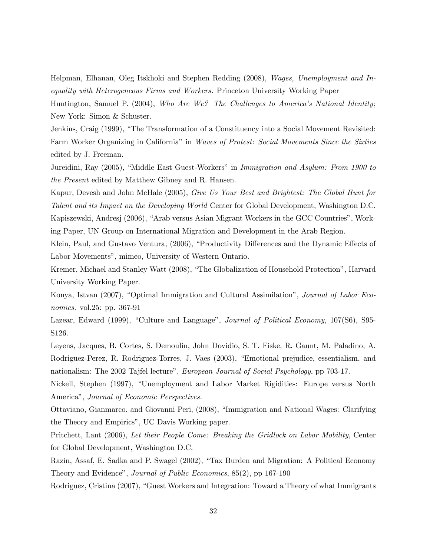Helpman, Elhanan, Oleg Itskhoki and Stephen Redding (2008), Wages, Unemployment and Inequality with Heterogeneous Firms and Workers. Princeton University Working Paper

Huntington, Samuel P. (2004), Who Are We? The Challenges to America's National Identity; New York: Simon & Schuster.

Jenkins, Craig (1999), "The Transformation of a Constituency into a Social Movement Revisited: Farm Worker Organizing in California" in Waves of Protest: Social Movements Since the Sixties edited by J. Freeman.

Jureidini, Ray (2005), "Middle East Guest-Workers" in Immigration and Asylum: From 1900 to the Present edited by Matthew Gibney and R. Hansen.

Kapur, Devesh and John McHale (2005), Give Us Your Best and Brightest: The Global Hunt for Talent and its Impact on the Developing World Center for Global Development, Washington D.C. Kapiszewski, Andresj (2006), "Arab versus Asian Migrant Workers in the GCC Countries", Working Paper, UN Group on International Migration and Development in the Arab Region.

Klein, Paul, and Gustavo Ventura, (2006), "Productivity Differences and the Dynamic Effects of Labor Movements", mimeo, University of Western Ontario.

Kremer, Michael and Stanley Watt (2008), "The Globalization of Household Protection", Harvard University Working Paper.

Konya, Istvan (2007), "Optimal Immigration and Cultural Assimilation", *Journal of Labor Eco*nomics. vol.25: pp. 367-91

Lazear, Edward (1999), "Culture and Language", *Journal of Political Economy*, 107(S6), S95-S126.

Leyens, Jacques, B. Cortes, S. Demoulin, John Dovidio, S. T. Fiske, R. Gaunt, M. Paladino, A. Rodriguez-Perez, R. Rodriguez-Torres, J. Vaes (2003), "Emotional prejudice, essentialism, and nationalism: The 2002 Tajfel lecture", European Journal of Social Psychology, pp 703-17.

Nickell, Stephen (1997), "Unemployment and Labor Market Rigidities: Europe versus North America", Journal of Economic Perspectives.

Ottaviano, Gianmarco, and Giovanni Peri, (2008), "Immigration and National Wages: Clarifying the Theory and Empirics", UC Davis Working paper.

Pritchett, Lant (2006), Let their People Come: Breaking the Gridlock on Labor Mobility, Center for Global Development, Washington D.C.

Razin, Assaf, E. Sadka and P. Swagel (2002), "Tax Burden and Migration: A Political Economy Theory and Evidence", Journal of Public Economics, 85(2), pp 167-190

Rodriguez, Cristina (2007), "Guest Workers and Integration: Toward a Theory of what Immigrants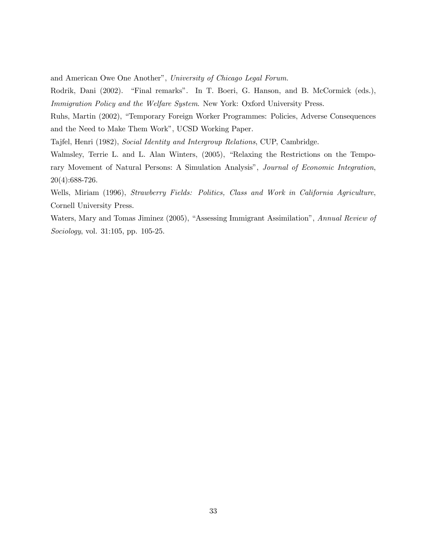and American Owe One Another", University of Chicago Legal Forum.

Rodrik, Dani (2002). "Final remarks". In T. Boeri, G. Hanson, and B. McCormick (eds.), Immigration Policy and the Welfare System. New York: Oxford University Press.

Ruhs, Martin (2002), "Temporary Foreign Worker Programmes: Policies, Adverse Consequences and the Need to Make Them Workî, UCSD Working Paper.

Tajfel, Henri (1982), Social Identity and Intergroup Relations, CUP, Cambridge.

Walmsley, Terrie L. and L. Alan Winters, (2005), "Relaxing the Restrictions on the Temporary Movement of Natural Persons: A Simulation Analysis", Journal of Economic Integration, 20(4):688-726.

Wells, Miriam (1996), Strawberry Fields: Politics, Class and Work in California Agriculture, Cornell University Press.

Waters, Mary and Tomas Jiminez (2005), "Assessing Immigrant Assimilation", Annual Review of Sociology, vol. 31:105, pp. 105-25.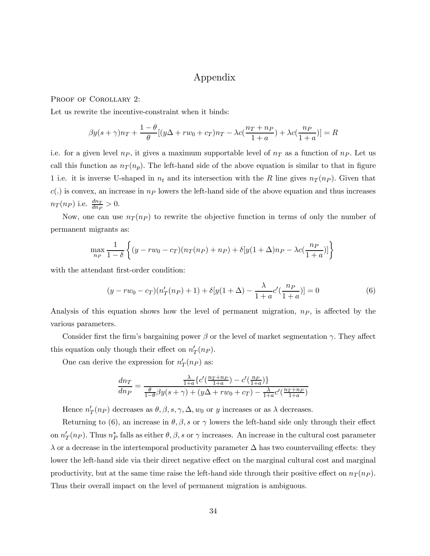# Appendix

#### PROOF OF COROLLARY 2:

Let us rewrite the incentive-constraint when it binds:

$$
\beta y(s+\gamma)n_T + \frac{1-\theta}{\theta}[(y\Delta + rw_0 + c_T)n_T - \lambda c(\frac{n_T + n_P}{1+a}) + \lambda c(\frac{n_P}{1+a})] = R
$$

i.e. for a given level  $n_P$ , it gives a maximum supportable level of  $n_T$  as a function of  $n_P$ . Let us call this function as  $n_T(n_p)$ . The left-hand side of the above equation is similar to that in figure 1 i.e. it is inverse U-shaped in  $n_t$  and its intersection with the R line gives  $n_T (n_P)$ . Given that  $c(.)$  is convex, an increase in  $n_P$  lowers the left-hand side of the above equation and thus increases  $n_T(n_P)$  i.e.  $\frac{dn_T}{dn_P} > 0$ .

Now, one can use  $n_T (n_P)$  to rewrite the objective function in terms of only the number of permanent migrants as:

$$
\max_{n_P} \frac{1}{1-\delta} \left\{ (y - rw_0 - c_T)(n_T(n_P) + n_P) + \delta[y(1+\Delta)n_P - \lambda c(\frac{n_P}{1+a})] \right\}
$$

with the attendant first-order condition:

$$
(y - rw_0 - c_T)(n'_T(np) + 1) + \delta[y(1 + \Delta) - \frac{\lambda}{1 + a}c'(\frac{np}{1 + a})] = 0
$$
\n(6)

Analysis of this equation shows how the level of permanent migration,  $n_P$ , is affected by the various parameters.

Consider first the firm's bargaining power  $\beta$  or the level of market segmentation  $\gamma$ . They affect this equation only though their effect on  $n'_T(n_P)$ .

One can derive the expression for  $n'_T(n_P)$  as:

$$
\frac{dn_T}{dn_P} = \frac{\frac{\lambda}{1+a}\left\{c'\left(\frac{n_T+n_P}{1+a}\right) - c'\left(\frac{n_P}{1+a}\right)\right\}}{\frac{\theta}{1-\theta}\beta y(s+\gamma) + (y\Delta + rw_0 + c_T) - \frac{\lambda}{1+a}c'\left(\frac{n_T+n_P}{1+a}\right)}
$$

Hence  $n'_T(n_P)$  decreases as  $\theta, \beta, s, \gamma, \Delta, w_0$  or y increases or as  $\lambda$  decreases.

Returning to (6), an increase in  $\theta$ ,  $\beta$ , s or  $\gamma$  lowers the left-hand side only through their effect on  $n'_T(n_P)$ . Thus  $n_P^*$  falls as either  $\theta, \beta, s$  or  $\gamma$  increases. An increase in the cultural cost parameter  $\lambda$  or a decrease in the intertemporal productivity parameter  $\Delta$  has two countervailing effects: they lower the left-hand side via their direct negative effect on the marginal cultural cost and marginal productivity, but at the same time raise the left-hand side through their positive effect on  $n_T (n_P)$ . Thus their overall impact on the level of permanent migration is ambiguous.